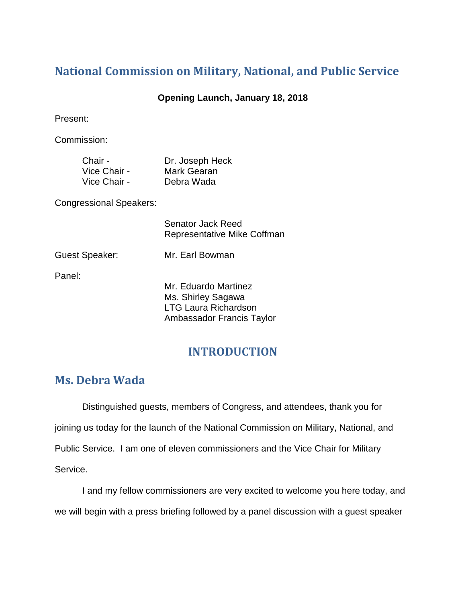# **National Commission on Military, National, and Public Service**

#### **Opening Launch, January 18, 2018**

Present:

Commission:

| Chair -      | Dr. Joseph Heck |
|--------------|-----------------|
| Vice Chair - | Mark Gearan     |
| Vice Chair - | Debra Wada      |

Congressional Speakers:

Senator Jack Reed Representative Mike Coffman

Guest Speaker: Mr. Earl Bowman

Panel:

Mr. Eduardo Martinez Ms. Shirley Sagawa LTG Laura Richardson Ambassador Francis Taylor

# **INTRODUCTION**

# **Ms. Debra Wada**

Distinguished guests, members of Congress, and attendees, thank you for joining us today for the launch of the National Commission on Military, National, and Public Service. I am one of eleven commissioners and the Vice Chair for Military Service.

I and my fellow commissioners are very excited to welcome you here today, and we will begin with a press briefing followed by a panel discussion with a guest speaker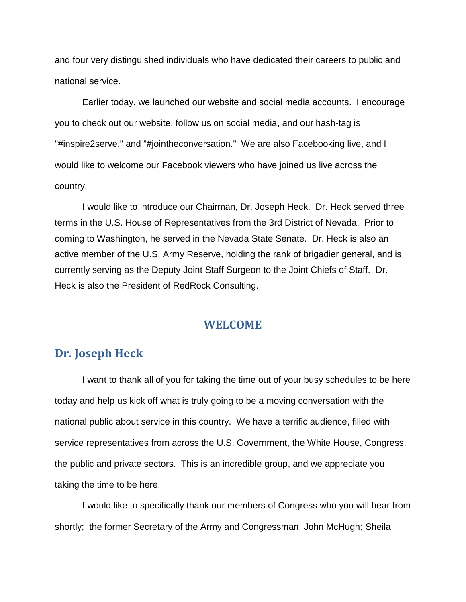and four very distinguished individuals who have dedicated their careers to public and national service.

Earlier today, we launched our website and social media accounts. I encourage you to check out our website, follow us on social media, and our hash-tag is "#inspire2serve," and "#jointheconversation." We are also Facebooking live, and I would like to welcome our Facebook viewers who have joined us live across the country.

I would like to introduce our Chairman, Dr. Joseph Heck. Dr. Heck served three terms in the U.S. House of Representatives from the 3rd District of Nevada. Prior to coming to Washington, he served in the Nevada State Senate. Dr. Heck is also an active member of the U.S. Army Reserve, holding the rank of brigadier general, and is currently serving as the Deputy Joint Staff Surgeon to the Joint Chiefs of Staff. Dr. Heck is also the President of RedRock Consulting.

### **WELCOME**

# **Dr. Joseph Heck**

I want to thank all of you for taking the time out of your busy schedules to be here today and help us kick off what is truly going to be a moving conversation with the national public about service in this country. We have a terrific audience, filled with service representatives from across the U.S. Government, the White House, Congress, the public and private sectors. This is an incredible group, and we appreciate you taking the time to be here.

I would like to specifically thank our members of Congress who you will hear from shortly; the former Secretary of the Army and Congressman, John McHugh; Sheila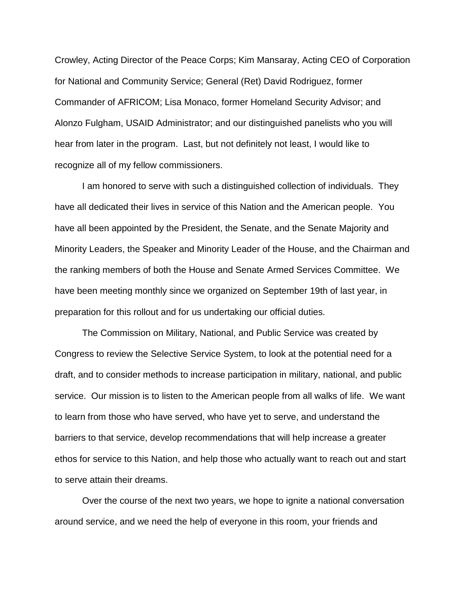Crowley, Acting Director of the Peace Corps; Kim Mansaray, Acting CEO of Corporation for National and Community Service; General (Ret) David Rodriguez, former Commander of AFRICOM; Lisa Monaco, former Homeland Security Advisor; and Alonzo Fulgham, USAID Administrator; and our distinguished panelists who you will hear from later in the program. Last, but not definitely not least, I would like to recognize all of my fellow commissioners.

I am honored to serve with such a distinguished collection of individuals. They have all dedicated their lives in service of this Nation and the American people. You have all been appointed by the President, the Senate, and the Senate Majority and Minority Leaders, the Speaker and Minority Leader of the House, and the Chairman and the ranking members of both the House and Senate Armed Services Committee. We have been meeting monthly since we organized on September 19th of last year, in preparation for this rollout and for us undertaking our official duties.

The Commission on Military, National, and Public Service was created by Congress to review the Selective Service System, to look at the potential need for a draft, and to consider methods to increase participation in military, national, and public service. Our mission is to listen to the American people from all walks of life. We want to learn from those who have served, who have yet to serve, and understand the barriers to that service, develop recommendations that will help increase a greater ethos for service to this Nation, and help those who actually want to reach out and start to serve attain their dreams.

Over the course of the next two years, we hope to ignite a national conversation around service, and we need the help of everyone in this room, your friends and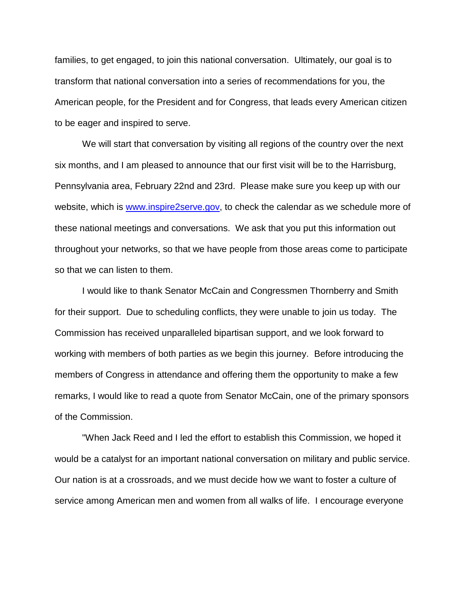families, to get engaged, to join this national conversation. Ultimately, our goal is to transform that national conversation into a series of recommendations for you, the American people, for the President and for Congress, that leads every American citizen to be eager and inspired to serve.

We will start that conversation by visiting all regions of the country over the next six months, and I am pleased to announce that our first visit will be to the Harrisburg, Pennsylvania area, February 22nd and 23rd. Please make sure you keep up with our website, which is [www.inspire2serve.gov,](http://www.inspire2serve.gov/) to check the calendar as we schedule more of these national meetings and conversations. We ask that you put this information out throughout your networks, so that we have people from those areas come to participate so that we can listen to them.

I would like to thank Senator McCain and Congressmen Thornberry and Smith for their support. Due to scheduling conflicts, they were unable to join us today. The Commission has received unparalleled bipartisan support, and we look forward to working with members of both parties as we begin this journey. Before introducing the members of Congress in attendance and offering them the opportunity to make a few remarks, I would like to read a quote from Senator McCain, one of the primary sponsors of the Commission.

"When Jack Reed and I led the effort to establish this Commission, we hoped it would be a catalyst for an important national conversation on military and public service. Our nation is at a crossroads, and we must decide how we want to foster a culture of service among American men and women from all walks of life. I encourage everyone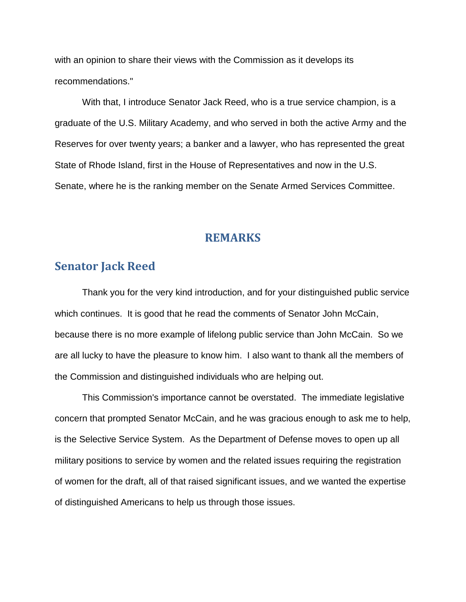with an opinion to share their views with the Commission as it develops its recommendations."

With that, I introduce Senator Jack Reed, who is a true service champion, is a graduate of the U.S. Military Academy, and who served in both the active Army and the Reserves for over twenty years; a banker and a lawyer, who has represented the great State of Rhode Island, first in the House of Representatives and now in the U.S. Senate, where he is the ranking member on the Senate Armed Services Committee.

#### **REMARKS**

# **Senator Jack Reed**

Thank you for the very kind introduction, and for your distinguished public service which continues. It is good that he read the comments of Senator John McCain, because there is no more example of lifelong public service than John McCain. So we are all lucky to have the pleasure to know him. I also want to thank all the members of the Commission and distinguished individuals who are helping out.

This Commission's importance cannot be overstated. The immediate legislative concern that prompted Senator McCain, and he was gracious enough to ask me to help, is the Selective Service System. As the Department of Defense moves to open up all military positions to service by women and the related issues requiring the registration of women for the draft, all of that raised significant issues, and we wanted the expertise of distinguished Americans to help us through those issues.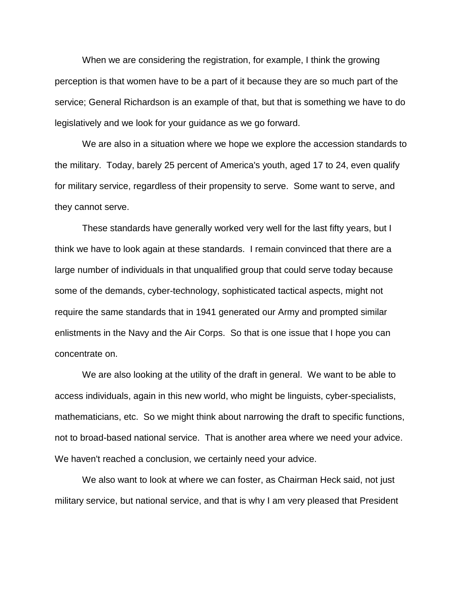When we are considering the registration, for example, I think the growing perception is that women have to be a part of it because they are so much part of the service; General Richardson is an example of that, but that is something we have to do legislatively and we look for your guidance as we go forward.

We are also in a situation where we hope we explore the accession standards to the military. Today, barely 25 percent of America's youth, aged 17 to 24, even qualify for military service, regardless of their propensity to serve. Some want to serve, and they cannot serve.

These standards have generally worked very well for the last fifty years, but I think we have to look again at these standards. I remain convinced that there are a large number of individuals in that unqualified group that could serve today because some of the demands, cyber-technology, sophisticated tactical aspects, might not require the same standards that in 1941 generated our Army and prompted similar enlistments in the Navy and the Air Corps. So that is one issue that I hope you can concentrate on.

We are also looking at the utility of the draft in general. We want to be able to access individuals, again in this new world, who might be linguists, cyber-specialists, mathematicians, etc. So we might think about narrowing the draft to specific functions, not to broad-based national service. That is another area where we need your advice. We haven't reached a conclusion, we certainly need your advice.

We also want to look at where we can foster, as Chairman Heck said, not just military service, but national service, and that is why I am very pleased that President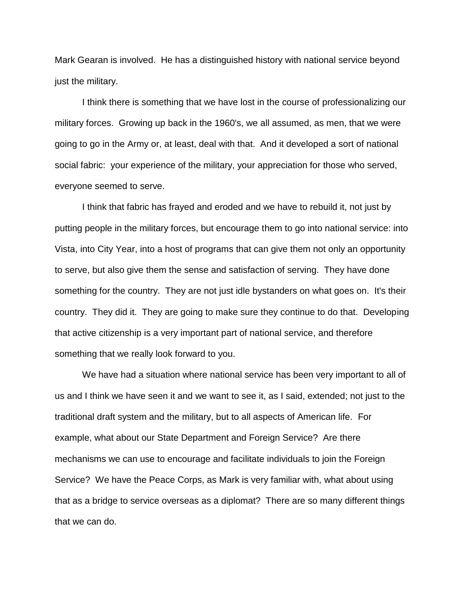Mark Gearan is involved. He has a distinguished history with national service beyond just the military.

I think there is something that we have lost in the course of professionalizing our military forces. Growing up back in the 1960's, we all assumed, as men, that we were going to go in the Army or, at least, deal with that. And it developed a sort of national social fabric: your experience of the military, your appreciation for those who served, everyone seemed to serve.

I think that fabric has frayed and eroded and we have to rebuild it, not just by putting people in the military forces, but encourage them to go into national service: into Vista, into City Year, into a host of programs that can give them not only an opportunity to serve, but also give them the sense and satisfaction of serving. They have done something for the country. They are not just idle bystanders on what goes on. It's their country. They did it. They are going to make sure they continue to do that. Developing that active citizenship is a very important part of national service, and therefore something that we really look forward to you.

We have had a situation where national service has been very important to all of us and I think we have seen it and we want to see it, as I said, extended; not just to the traditional draft system and the military, but to all aspects of American life. For example, what about our State Department and Foreign Service? Are there mechanisms we can use to encourage and facilitate individuals to join the Foreign Service? We have the Peace Corps, as Mark is very familiar with, what about using that as a bridge to service overseas as a diplomat? There are so many different things that we can do.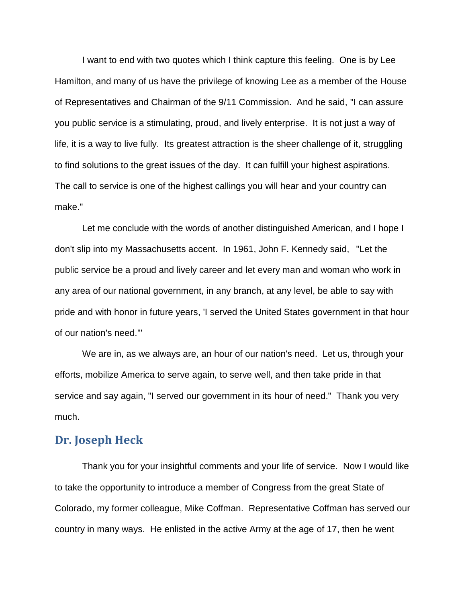I want to end with two quotes which I think capture this feeling. One is by Lee Hamilton, and many of us have the privilege of knowing Lee as a member of the House of Representatives and Chairman of the 9/11 Commission. And he said, "I can assure you public service is a stimulating, proud, and lively enterprise. It is not just a way of life, it is a way to live fully. Its greatest attraction is the sheer challenge of it, struggling to find solutions to the great issues of the day. It can fulfill your highest aspirations. The call to service is one of the highest callings you will hear and your country can make."

Let me conclude with the words of another distinguished American, and I hope I don't slip into my Massachusetts accent. In 1961, John F. Kennedy said, "Let the public service be a proud and lively career and let every man and woman who work in any area of our national government, in any branch, at any level, be able to say with pride and with honor in future years, 'I served the United States government in that hour of our nation's need.'"

We are in, as we always are, an hour of our nation's need. Let us, through your efforts, mobilize America to serve again, to serve well, and then take pride in that service and say again, "I served our government in its hour of need." Thank you very much.

#### **Dr. Joseph Heck**

Thank you for your insightful comments and your life of service. Now I would like to take the opportunity to introduce a member of Congress from the great State of Colorado, my former colleague, Mike Coffman. Representative Coffman has served our country in many ways. He enlisted in the active Army at the age of 17, then he went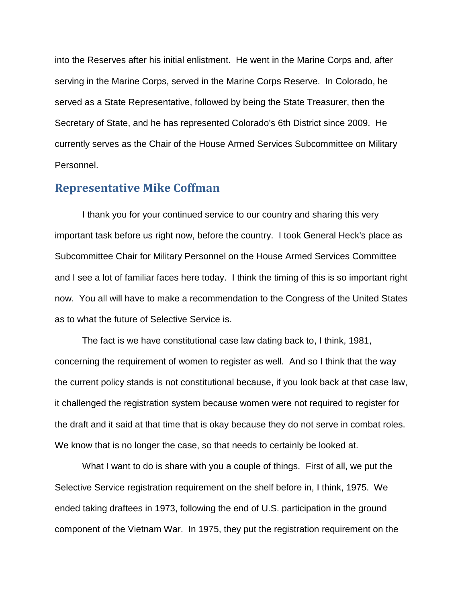into the Reserves after his initial enlistment. He went in the Marine Corps and, after serving in the Marine Corps, served in the Marine Corps Reserve. In Colorado, he served as a State Representative, followed by being the State Treasurer, then the Secretary of State, and he has represented Colorado's 6th District since 2009. He currently serves as the Chair of the House Armed Services Subcommittee on Military Personnel.

#### **Representative Mike Coffman**

I thank you for your continued service to our country and sharing this very important task before us right now, before the country. I took General Heck's place as Subcommittee Chair for Military Personnel on the House Armed Services Committee and I see a lot of familiar faces here today. I think the timing of this is so important right now. You all will have to make a recommendation to the Congress of the United States as to what the future of Selective Service is.

The fact is we have constitutional case law dating back to, I think, 1981, concerning the requirement of women to register as well. And so I think that the way the current policy stands is not constitutional because, if you look back at that case law, it challenged the registration system because women were not required to register for the draft and it said at that time that is okay because they do not serve in combat roles. We know that is no longer the case, so that needs to certainly be looked at.

What I want to do is share with you a couple of things. First of all, we put the Selective Service registration requirement on the shelf before in, I think, 1975. We ended taking draftees in 1973, following the end of U.S. participation in the ground component of the Vietnam War. In 1975, they put the registration requirement on the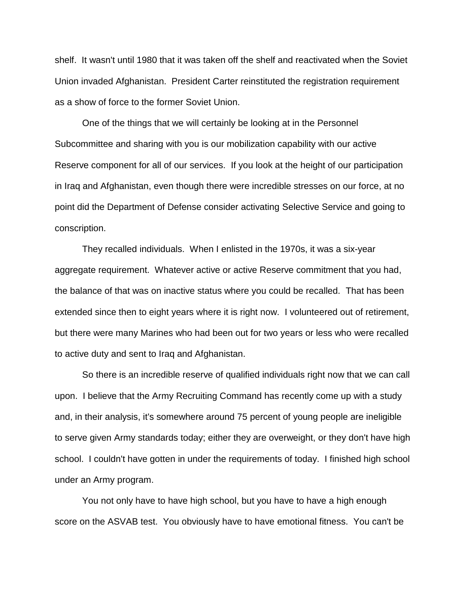shelf. It wasn't until 1980 that it was taken off the shelf and reactivated when the Soviet Union invaded Afghanistan. President Carter reinstituted the registration requirement as a show of force to the former Soviet Union.

One of the things that we will certainly be looking at in the Personnel Subcommittee and sharing with you is our mobilization capability with our active Reserve component for all of our services. If you look at the height of our participation in Iraq and Afghanistan, even though there were incredible stresses on our force, at no point did the Department of Defense consider activating Selective Service and going to conscription.

They recalled individuals. When I enlisted in the 1970s, it was a six-year aggregate requirement. Whatever active or active Reserve commitment that you had, the balance of that was on inactive status where you could be recalled. That has been extended since then to eight years where it is right now. I volunteered out of retirement, but there were many Marines who had been out for two years or less who were recalled to active duty and sent to Iraq and Afghanistan.

So there is an incredible reserve of qualified individuals right now that we can call upon. I believe that the Army Recruiting Command has recently come up with a study and, in their analysis, it's somewhere around 75 percent of young people are ineligible to serve given Army standards today; either they are overweight, or they don't have high school. I couldn't have gotten in under the requirements of today. I finished high school under an Army program.

You not only have to have high school, but you have to have a high enough score on the ASVAB test. You obviously have to have emotional fitness. You can't be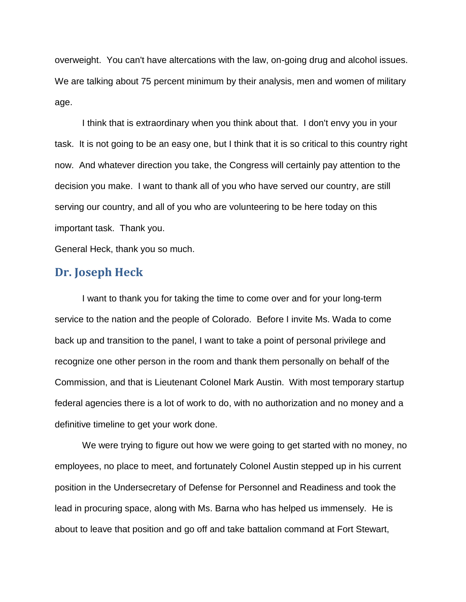overweight. You can't have altercations with the law, on-going drug and alcohol issues. We are talking about 75 percent minimum by their analysis, men and women of military age.

I think that is extraordinary when you think about that. I don't envy you in your task. It is not going to be an easy one, but I think that it is so critical to this country right now. And whatever direction you take, the Congress will certainly pay attention to the decision you make. I want to thank all of you who have served our country, are still serving our country, and all of you who are volunteering to be here today on this important task. Thank you.

General Heck, thank you so much.

## **Dr. Joseph Heck**

I want to thank you for taking the time to come over and for your long-term service to the nation and the people of Colorado. Before I invite Ms. Wada to come back up and transition to the panel, I want to take a point of personal privilege and recognize one other person in the room and thank them personally on behalf of the Commission, and that is Lieutenant Colonel Mark Austin. With most temporary startup federal agencies there is a lot of work to do, with no authorization and no money and a definitive timeline to get your work done.

We were trying to figure out how we were going to get started with no money, no employees, no place to meet, and fortunately Colonel Austin stepped up in his current position in the Undersecretary of Defense for Personnel and Readiness and took the lead in procuring space, along with Ms. Barna who has helped us immensely. He is about to leave that position and go off and take battalion command at Fort Stewart,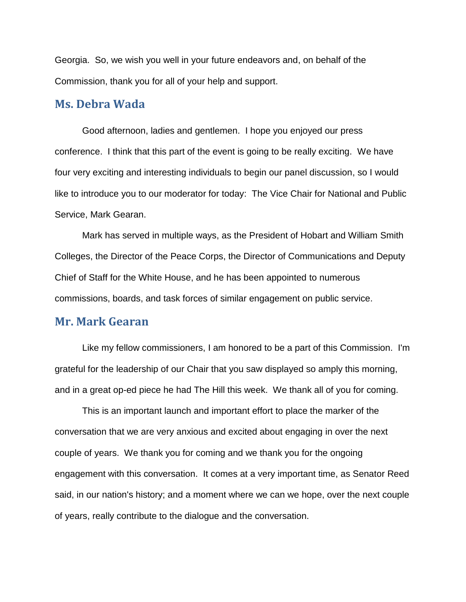Georgia. So, we wish you well in your future endeavors and, on behalf of the Commission, thank you for all of your help and support.

## **Ms. Debra Wada**

Good afternoon, ladies and gentlemen. I hope you enjoyed our press conference. I think that this part of the event is going to be really exciting. We have four very exciting and interesting individuals to begin our panel discussion, so I would like to introduce you to our moderator for today: The Vice Chair for National and Public Service, Mark Gearan.

Mark has served in multiple ways, as the President of Hobart and William Smith Colleges, the Director of the Peace Corps, the Director of Communications and Deputy Chief of Staff for the White House, and he has been appointed to numerous commissions, boards, and task forces of similar engagement on public service.

#### **Mr. Mark Gearan**

Like my fellow commissioners, I am honored to be a part of this Commission. I'm grateful for the leadership of our Chair that you saw displayed so amply this morning, and in a great op-ed piece he had The Hill this week. We thank all of you for coming.

This is an important launch and important effort to place the marker of the conversation that we are very anxious and excited about engaging in over the next couple of years. We thank you for coming and we thank you for the ongoing engagement with this conversation. It comes at a very important time, as Senator Reed said, in our nation's history; and a moment where we can we hope, over the next couple of years, really contribute to the dialogue and the conversation.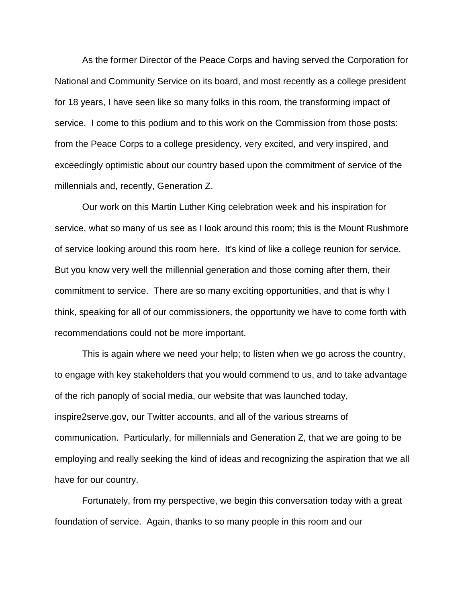As the former Director of the Peace Corps and having served the Corporation for National and Community Service on its board, and most recently as a college president for 18 years, I have seen like so many folks in this room, the transforming impact of service. I come to this podium and to this work on the Commission from those posts: from the Peace Corps to a college presidency, very excited, and very inspired, and exceedingly optimistic about our country based upon the commitment of service of the millennials and, recently, Generation Z.

Our work on this Martin Luther King celebration week and his inspiration for service, what so many of us see as I look around this room; this is the Mount Rushmore of service looking around this room here. It's kind of like a college reunion for service. But you know very well the millennial generation and those coming after them, their commitment to service. There are so many exciting opportunities, and that is why I think, speaking for all of our commissioners, the opportunity we have to come forth with recommendations could not be more important.

This is again where we need your help; to listen when we go across the country, to engage with key stakeholders that you would commend to us, and to take advantage of the rich panoply of social media, our website that was launched today, inspire2serve.gov, our Twitter accounts, and all of the various streams of communication. Particularly, for millennials and Generation Z, that we are going to be employing and really seeking the kind of ideas and recognizing the aspiration that we all have for our country.

Fortunately, from my perspective, we begin this conversation today with a great foundation of service. Again, thanks to so many people in this room and our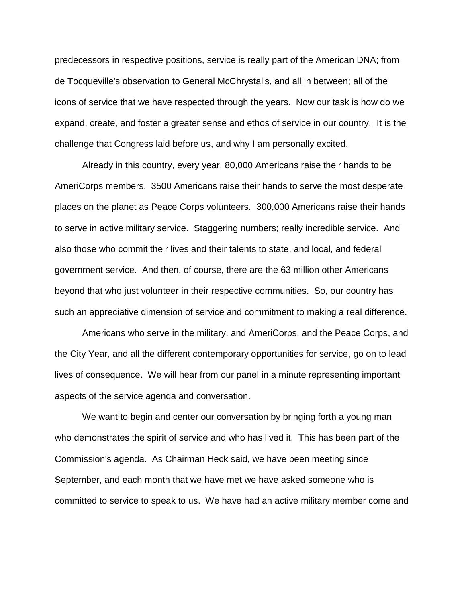predecessors in respective positions, service is really part of the American DNA; from de Tocqueville's observation to General McChrystal's, and all in between; all of the icons of service that we have respected through the years. Now our task is how do we expand, create, and foster a greater sense and ethos of service in our country. It is the challenge that Congress laid before us, and why I am personally excited.

Already in this country, every year, 80,000 Americans raise their hands to be AmeriCorps members. 3500 Americans raise their hands to serve the most desperate places on the planet as Peace Corps volunteers. 300,000 Americans raise their hands to serve in active military service. Staggering numbers; really incredible service. And also those who commit their lives and their talents to state, and local, and federal government service. And then, of course, there are the 63 million other Americans beyond that who just volunteer in their respective communities. So, our country has such an appreciative dimension of service and commitment to making a real difference.

Americans who serve in the military, and AmeriCorps, and the Peace Corps, and the City Year, and all the different contemporary opportunities for service, go on to lead lives of consequence. We will hear from our panel in a minute representing important aspects of the service agenda and conversation.

We want to begin and center our conversation by bringing forth a young man who demonstrates the spirit of service and who has lived it. This has been part of the Commission's agenda. As Chairman Heck said, we have been meeting since September, and each month that we have met we have asked someone who is committed to service to speak to us. We have had an active military member come and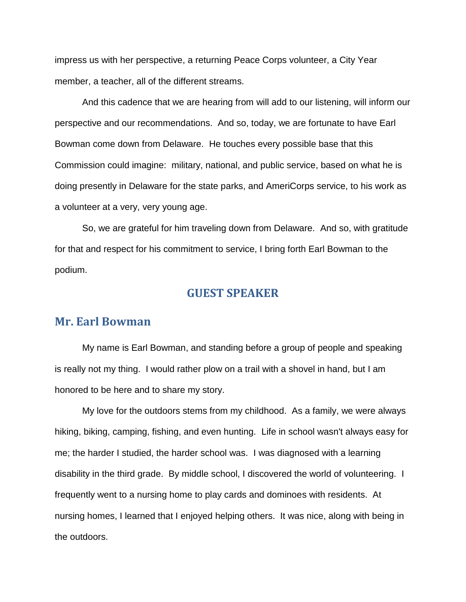impress us with her perspective, a returning Peace Corps volunteer, a City Year member, a teacher, all of the different streams.

And this cadence that we are hearing from will add to our listening, will inform our perspective and our recommendations. And so, today, we are fortunate to have Earl Bowman come down from Delaware. He touches every possible base that this Commission could imagine: military, national, and public service, based on what he is doing presently in Delaware for the state parks, and AmeriCorps service, to his work as a volunteer at a very, very young age.

So, we are grateful for him traveling down from Delaware. And so, with gratitude for that and respect for his commitment to service, I bring forth Earl Bowman to the podium.

#### **GUEST SPEAKER**

### **Mr. Earl Bowman**

My name is Earl Bowman, and standing before a group of people and speaking is really not my thing. I would rather plow on a trail with a shovel in hand, but I am honored to be here and to share my story.

My love for the outdoors stems from my childhood. As a family, we were always hiking, biking, camping, fishing, and even hunting. Life in school wasn't always easy for me; the harder I studied, the harder school was. I was diagnosed with a learning disability in the third grade. By middle school, I discovered the world of volunteering. I frequently went to a nursing home to play cards and dominoes with residents. At nursing homes, I learned that I enjoyed helping others. It was nice, along with being in the outdoors.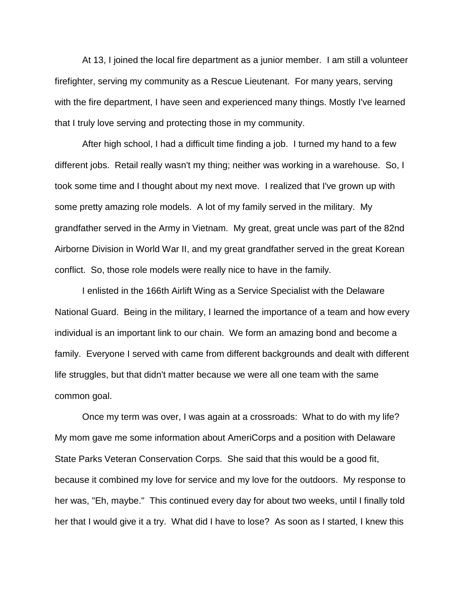At 13, I joined the local fire department as a junior member. I am still a volunteer firefighter, serving my community as a Rescue Lieutenant. For many years, serving with the fire department, I have seen and experienced many things. Mostly I've learned that I truly love serving and protecting those in my community.

After high school, I had a difficult time finding a job. I turned my hand to a few different jobs. Retail really wasn't my thing; neither was working in a warehouse. So, I took some time and I thought about my next move. I realized that I've grown up with some pretty amazing role models. A lot of my family served in the military. My grandfather served in the Army in Vietnam. My great, great uncle was part of the 82nd Airborne Division in World War II, and my great grandfather served in the great Korean conflict. So, those role models were really nice to have in the family.

I enlisted in the 166th Airlift Wing as a Service Specialist with the Delaware National Guard. Being in the military, I learned the importance of a team and how every individual is an important link to our chain. We form an amazing bond and become a family. Everyone I served with came from different backgrounds and dealt with different life struggles, but that didn't matter because we were all one team with the same common goal.

Once my term was over, I was again at a crossroads: What to do with my life? My mom gave me some information about AmeriCorps and a position with Delaware State Parks Veteran Conservation Corps. She said that this would be a good fit, because it combined my love for service and my love for the outdoors. My response to her was, "Eh, maybe." This continued every day for about two weeks, until I finally told her that I would give it a try. What did I have to lose? As soon as I started, I knew this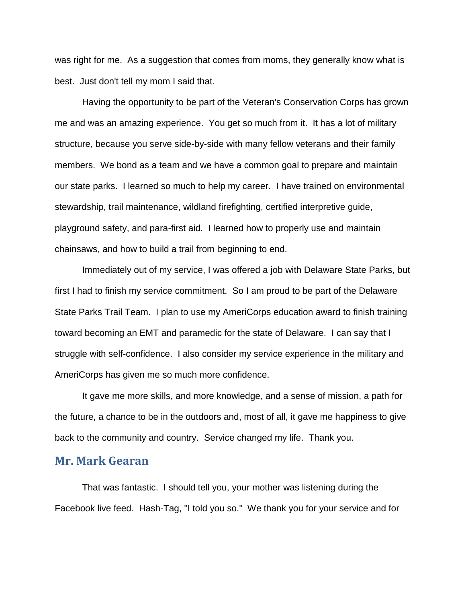was right for me. As a suggestion that comes from moms, they generally know what is best. Just don't tell my mom I said that.

Having the opportunity to be part of the Veteran's Conservation Corps has grown me and was an amazing experience. You get so much from it. It has a lot of military structure, because you serve side-by-side with many fellow veterans and their family members. We bond as a team and we have a common goal to prepare and maintain our state parks. I learned so much to help my career. I have trained on environmental stewardship, trail maintenance, wildland firefighting, certified interpretive guide, playground safety, and para-first aid. I learned how to properly use and maintain chainsaws, and how to build a trail from beginning to end.

Immediately out of my service, I was offered a job with Delaware State Parks, but first I had to finish my service commitment. So I am proud to be part of the Delaware State Parks Trail Team. I plan to use my AmeriCorps education award to finish training toward becoming an EMT and paramedic for the state of Delaware. I can say that I struggle with self-confidence. I also consider my service experience in the military and AmeriCorps has given me so much more confidence.

It gave me more skills, and more knowledge, and a sense of mission, a path for the future, a chance to be in the outdoors and, most of all, it gave me happiness to give back to the community and country. Service changed my life. Thank you.

#### **Mr. Mark Gearan**

That was fantastic. I should tell you, your mother was listening during the Facebook live feed. Hash-Tag, "I told you so." We thank you for your service and for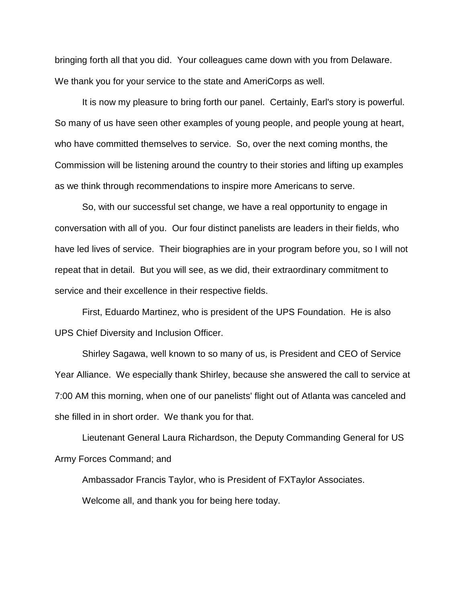bringing forth all that you did. Your colleagues came down with you from Delaware. We thank you for your service to the state and AmeriCorps as well.

It is now my pleasure to bring forth our panel. Certainly, Earl's story is powerful. So many of us have seen other examples of young people, and people young at heart, who have committed themselves to service. So, over the next coming months, the Commission will be listening around the country to their stories and lifting up examples as we think through recommendations to inspire more Americans to serve.

So, with our successful set change, we have a real opportunity to engage in conversation with all of you. Our four distinct panelists are leaders in their fields, who have led lives of service. Their biographies are in your program before you, so I will not repeat that in detail. But you will see, as we did, their extraordinary commitment to service and their excellence in their respective fields.

First, Eduardo Martinez, who is president of the UPS Foundation. He is also UPS Chief Diversity and Inclusion Officer.

Shirley Sagawa, well known to so many of us, is President and CEO of Service Year Alliance. We especially thank Shirley, because she answered the call to service at 7:00 AM this morning, when one of our panelists' flight out of Atlanta was canceled and she filled in in short order. We thank you for that.

Lieutenant General Laura Richardson, the Deputy Commanding General for US Army Forces Command; and

Ambassador Francis Taylor, who is President of FXTaylor Associates. Welcome all, and thank you for being here today.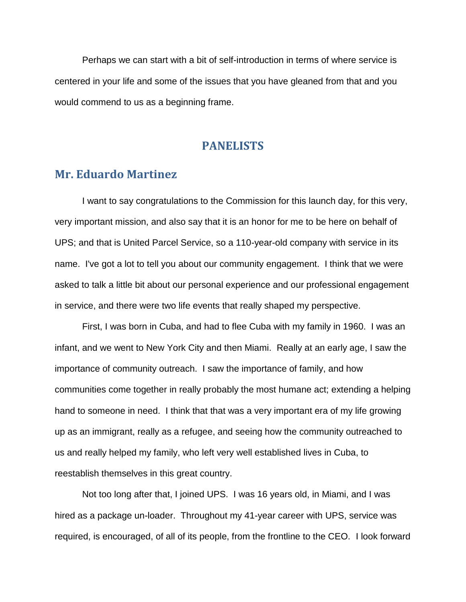Perhaps we can start with a bit of self-introduction in terms of where service is centered in your life and some of the issues that you have gleaned from that and you would commend to us as a beginning frame.

#### **PANELISTS**

# **Mr. Eduardo Martinez**

I want to say congratulations to the Commission for this launch day, for this very, very important mission, and also say that it is an honor for me to be here on behalf of UPS; and that is United Parcel Service, so a 110-year-old company with service in its name. I've got a lot to tell you about our community engagement. I think that we were asked to talk a little bit about our personal experience and our professional engagement in service, and there were two life events that really shaped my perspective.

First, I was born in Cuba, and had to flee Cuba with my family in 1960. I was an infant, and we went to New York City and then Miami. Really at an early age, I saw the importance of community outreach. I saw the importance of family, and how communities come together in really probably the most humane act; extending a helping hand to someone in need. I think that that was a very important era of my life growing up as an immigrant, really as a refugee, and seeing how the community outreached to us and really helped my family, who left very well established lives in Cuba, to reestablish themselves in this great country.

Not too long after that, I joined UPS. I was 16 years old, in Miami, and I was hired as a package un-loader. Throughout my 41-year career with UPS, service was required, is encouraged, of all of its people, from the frontline to the CEO. I look forward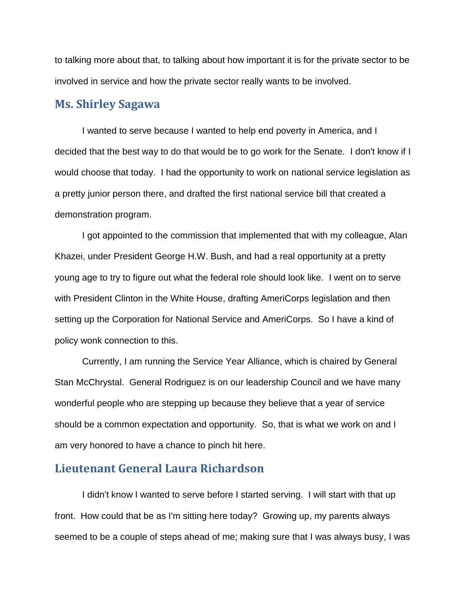to talking more about that, to talking about how important it is for the private sector to be involved in service and how the private sector really wants to be involved.

# **Ms. Shirley Sagawa**

I wanted to serve because I wanted to help end poverty in America, and I decided that the best way to do that would be to go work for the Senate. I don't know if I would choose that today. I had the opportunity to work on national service legislation as a pretty junior person there, and drafted the first national service bill that created a demonstration program.

I got appointed to the commission that implemented that with my colleague, Alan Khazei, under President George H.W. Bush, and had a real opportunity at a pretty young age to try to figure out what the federal role should look like. I went on to serve with President Clinton in the White House, drafting AmeriCorps legislation and then setting up the Corporation for National Service and AmeriCorps. So I have a kind of policy wonk connection to this.

Currently, I am running the Service Year Alliance, which is chaired by General Stan McChrystal. General Rodriguez is on our leadership Council and we have many wonderful people who are stepping up because they believe that a year of service should be a common expectation and opportunity. So, that is what we work on and I am very honored to have a chance to pinch hit here.

#### **Lieutenant General Laura Richardson**

I didn't know I wanted to serve before I started serving. I will start with that up front. How could that be as I'm sitting here today? Growing up, my parents always seemed to be a couple of steps ahead of me; making sure that I was always busy, I was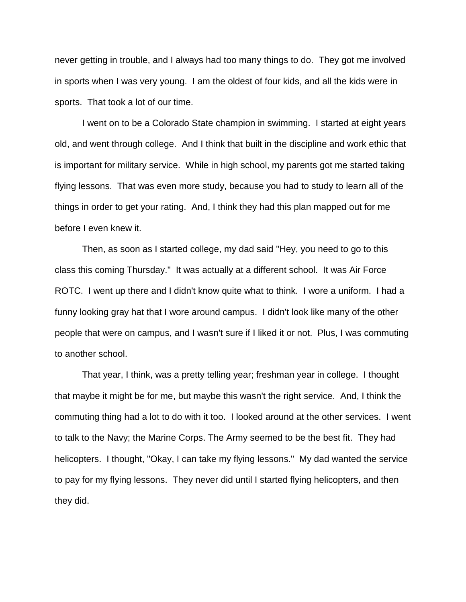never getting in trouble, and I always had too many things to do. They got me involved in sports when I was very young. I am the oldest of four kids, and all the kids were in sports. That took a lot of our time.

I went on to be a Colorado State champion in swimming. I started at eight years old, and went through college. And I think that built in the discipline and work ethic that is important for military service. While in high school, my parents got me started taking flying lessons. That was even more study, because you had to study to learn all of the things in order to get your rating. And, I think they had this plan mapped out for me before I even knew it.

Then, as soon as I started college, my dad said "Hey, you need to go to this class this coming Thursday." It was actually at a different school. It was Air Force ROTC. I went up there and I didn't know quite what to think. I wore a uniform. I had a funny looking gray hat that I wore around campus. I didn't look like many of the other people that were on campus, and I wasn't sure if I liked it or not. Plus, I was commuting to another school.

That year, I think, was a pretty telling year; freshman year in college. I thought that maybe it might be for me, but maybe this wasn't the right service. And, I think the commuting thing had a lot to do with it too. I looked around at the other services. I went to talk to the Navy; the Marine Corps. The Army seemed to be the best fit. They had helicopters. I thought, "Okay, I can take my flying lessons." My dad wanted the service to pay for my flying lessons. They never did until I started flying helicopters, and then they did.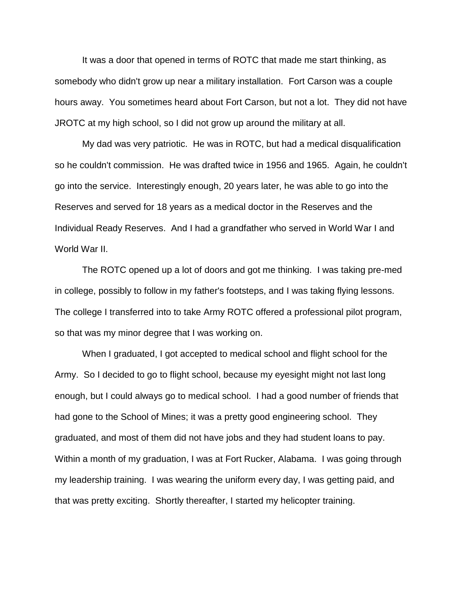It was a door that opened in terms of ROTC that made me start thinking, as somebody who didn't grow up near a military installation. Fort Carson was a couple hours away. You sometimes heard about Fort Carson, but not a lot. They did not have JROTC at my high school, so I did not grow up around the military at all.

My dad was very patriotic. He was in ROTC, but had a medical disqualification so he couldn't commission. He was drafted twice in 1956 and 1965. Again, he couldn't go into the service. Interestingly enough, 20 years later, he was able to go into the Reserves and served for 18 years as a medical doctor in the Reserves and the Individual Ready Reserves. And I had a grandfather who served in World War I and World War II.

The ROTC opened up a lot of doors and got me thinking. I was taking pre-med in college, possibly to follow in my father's footsteps, and I was taking flying lessons. The college I transferred into to take Army ROTC offered a professional pilot program, so that was my minor degree that I was working on.

When I graduated, I got accepted to medical school and flight school for the Army. So I decided to go to flight school, because my eyesight might not last long enough, but I could always go to medical school. I had a good number of friends that had gone to the School of Mines; it was a pretty good engineering school. They graduated, and most of them did not have jobs and they had student loans to pay. Within a month of my graduation, I was at Fort Rucker, Alabama. I was going through my leadership training. I was wearing the uniform every day, I was getting paid, and that was pretty exciting. Shortly thereafter, I started my helicopter training.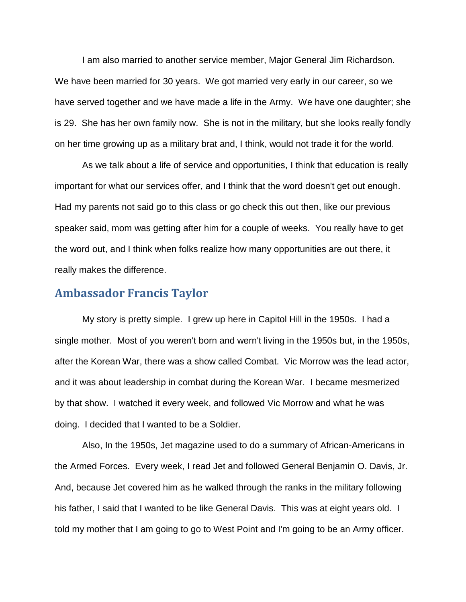I am also married to another service member, Major General Jim Richardson. We have been married for 30 years. We got married very early in our career, so we have served together and we have made a life in the Army. We have one daughter; she is 29. She has her own family now. She is not in the military, but she looks really fondly on her time growing up as a military brat and, I think, would not trade it for the world.

As we talk about a life of service and opportunities, I think that education is really important for what our services offer, and I think that the word doesn't get out enough. Had my parents not said go to this class or go check this out then, like our previous speaker said, mom was getting after him for a couple of weeks. You really have to get the word out, and I think when folks realize how many opportunities are out there, it really makes the difference.

#### **Ambassador Francis Taylor**

My story is pretty simple. I grew up here in Capitol Hill in the 1950s. I had a single mother. Most of you weren't born and wern't living in the 1950s but, in the 1950s, after the Korean War, there was a show called Combat. Vic Morrow was the lead actor, and it was about leadership in combat during the Korean War. I became mesmerized by that show. I watched it every week, and followed Vic Morrow and what he was doing. I decided that I wanted to be a Soldier.

Also, In the 1950s, Jet magazine used to do a summary of African-Americans in the Armed Forces. Every week, I read Jet and followed General Benjamin O. Davis, Jr. And, because Jet covered him as he walked through the ranks in the military following his father, I said that I wanted to be like General Davis. This was at eight years old. I told my mother that I am going to go to West Point and I'm going to be an Army officer.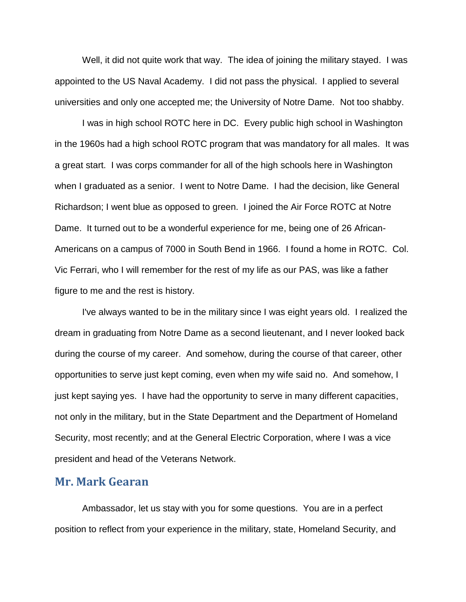Well, it did not quite work that way. The idea of joining the military stayed. I was appointed to the US Naval Academy. I did not pass the physical. I applied to several universities and only one accepted me; the University of Notre Dame. Not too shabby.

I was in high school ROTC here in DC. Every public high school in Washington in the 1960s had a high school ROTC program that was mandatory for all males. It was a great start. I was corps commander for all of the high schools here in Washington when I graduated as a senior. I went to Notre Dame. I had the decision, like General Richardson; I went blue as opposed to green. I joined the Air Force ROTC at Notre Dame. It turned out to be a wonderful experience for me, being one of 26 African-Americans on a campus of 7000 in South Bend in 1966. I found a home in ROTC. Col. Vic Ferrari, who I will remember for the rest of my life as our PAS, was like a father figure to me and the rest is history.

I've always wanted to be in the military since I was eight years old. I realized the dream in graduating from Notre Dame as a second lieutenant, and I never looked back during the course of my career. And somehow, during the course of that career, other opportunities to serve just kept coming, even when my wife said no. And somehow, I just kept saying yes. I have had the opportunity to serve in many different capacities, not only in the military, but in the State Department and the Department of Homeland Security, most recently; and at the General Electric Corporation, where I was a vice president and head of the Veterans Network.

#### **Mr. Mark Gearan**

Ambassador, let us stay with you for some questions. You are in a perfect position to reflect from your experience in the military, state, Homeland Security, and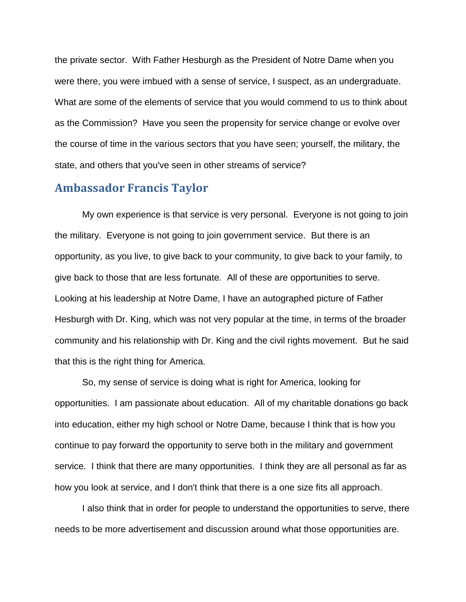the private sector. With Father Hesburgh as the President of Notre Dame when you were there, you were imbued with a sense of service, I suspect, as an undergraduate. What are some of the elements of service that you would commend to us to think about as the Commission? Have you seen the propensity for service change or evolve over the course of time in the various sectors that you have seen; yourself, the military, the state, and others that you've seen in other streams of service?

### **Ambassador Francis Taylor**

My own experience is that service is very personal. Everyone is not going to join the military. Everyone is not going to join government service. But there is an opportunity, as you live, to give back to your community, to give back to your family, to give back to those that are less fortunate. All of these are opportunities to serve. Looking at his leadership at Notre Dame, I have an autographed picture of Father Hesburgh with Dr. King, which was not very popular at the time, in terms of the broader community and his relationship with Dr. King and the civil rights movement. But he said that this is the right thing for America.

So, my sense of service is doing what is right for America, looking for opportunities. I am passionate about education. All of my charitable donations go back into education, either my high school or Notre Dame, because I think that is how you continue to pay forward the opportunity to serve both in the military and government service. I think that there are many opportunities. I think they are all personal as far as how you look at service, and I don't think that there is a one size fits all approach.

I also think that in order for people to understand the opportunities to serve, there needs to be more advertisement and discussion around what those opportunities are.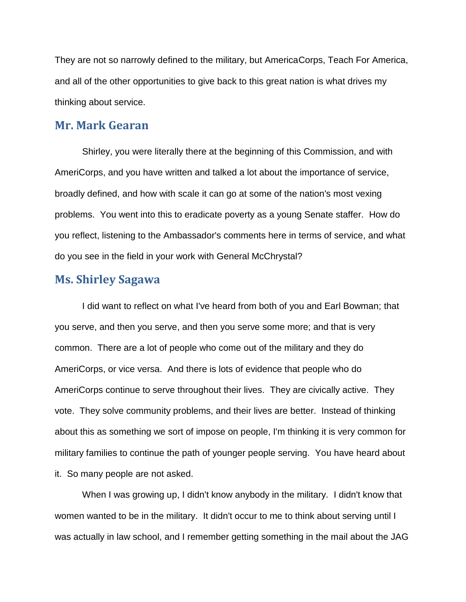They are not so narrowly defined to the military, but AmericaCorps, Teach For America, and all of the other opportunities to give back to this great nation is what drives my thinking about service.

#### **Mr. Mark Gearan**

Shirley, you were literally there at the beginning of this Commission, and with AmeriCorps, and you have written and talked a lot about the importance of service, broadly defined, and how with scale it can go at some of the nation's most vexing problems. You went into this to eradicate poverty as a young Senate staffer. How do you reflect, listening to the Ambassador's comments here in terms of service, and what do you see in the field in your work with General McChrystal?

### **Ms. Shirley Sagawa**

I did want to reflect on what I've heard from both of you and Earl Bowman; that you serve, and then you serve, and then you serve some more; and that is very common. There are a lot of people who come out of the military and they do AmeriCorps, or vice versa. And there is lots of evidence that people who do AmeriCorps continue to serve throughout their lives. They are civically active. They vote. They solve community problems, and their lives are better. Instead of thinking about this as something we sort of impose on people, I'm thinking it is very common for military families to continue the path of younger people serving. You have heard about it. So many people are not asked.

When I was growing up, I didn't know anybody in the military. I didn't know that women wanted to be in the military. It didn't occur to me to think about serving until I was actually in law school, and I remember getting something in the mail about the JAG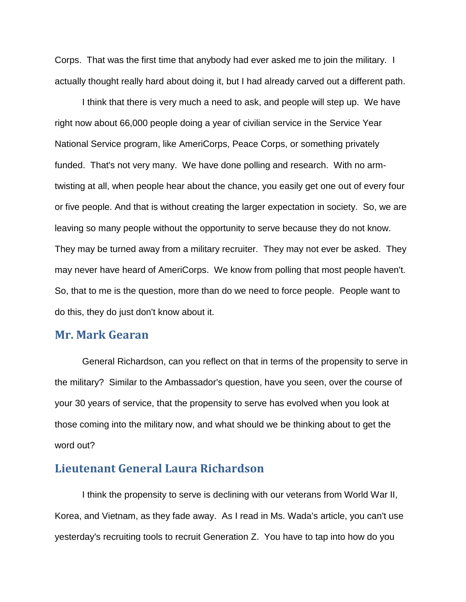Corps. That was the first time that anybody had ever asked me to join the military. I actually thought really hard about doing it, but I had already carved out a different path.

I think that there is very much a need to ask, and people will step up. We have right now about 66,000 people doing a year of civilian service in the Service Year National Service program, like AmeriCorps, Peace Corps, or something privately funded. That's not very many. We have done polling and research. With no armtwisting at all, when people hear about the chance, you easily get one out of every four or five people. And that is without creating the larger expectation in society. So, we are leaving so many people without the opportunity to serve because they do not know. They may be turned away from a military recruiter. They may not ever be asked. They may never have heard of AmeriCorps. We know from polling that most people haven't. So, that to me is the question, more than do we need to force people. People want to do this, they do just don't know about it.

#### **Mr. Mark Gearan**

General Richardson, can you reflect on that in terms of the propensity to serve in the military? Similar to the Ambassador's question, have you seen, over the course of your 30 years of service, that the propensity to serve has evolved when you look at those coming into the military now, and what should we be thinking about to get the word out?

#### **Lieutenant General Laura Richardson**

I think the propensity to serve is declining with our veterans from World War II, Korea, and Vietnam, as they fade away. As I read in Ms. Wada's article, you can't use yesterday's recruiting tools to recruit Generation Z. You have to tap into how do you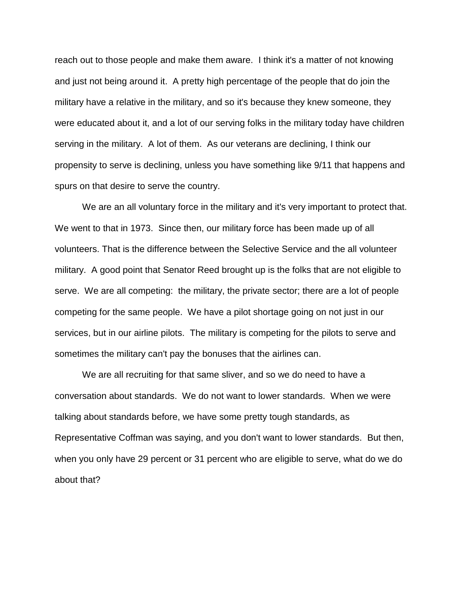reach out to those people and make them aware. I think it's a matter of not knowing and just not being around it. A pretty high percentage of the people that do join the military have a relative in the military, and so it's because they knew someone, they were educated about it, and a lot of our serving folks in the military today have children serving in the military. A lot of them. As our veterans are declining, I think our propensity to serve is declining, unless you have something like 9/11 that happens and spurs on that desire to serve the country.

We are an all voluntary force in the military and it's very important to protect that. We went to that in 1973. Since then, our military force has been made up of all volunteers. That is the difference between the Selective Service and the all volunteer military. A good point that Senator Reed brought up is the folks that are not eligible to serve. We are all competing: the military, the private sector; there are a lot of people competing for the same people. We have a pilot shortage going on not just in our services, but in our airline pilots. The military is competing for the pilots to serve and sometimes the military can't pay the bonuses that the airlines can.

We are all recruiting for that same sliver, and so we do need to have a conversation about standards. We do not want to lower standards. When we were talking about standards before, we have some pretty tough standards, as Representative Coffman was saying, and you don't want to lower standards. But then, when you only have 29 percent or 31 percent who are eligible to serve, what do we do about that?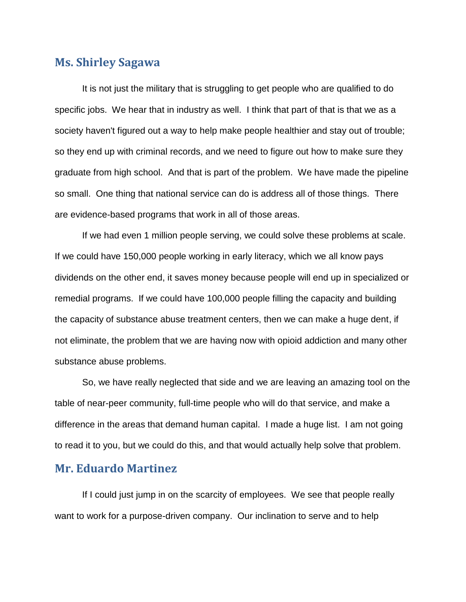# **Ms. Shirley Sagawa**

It is not just the military that is struggling to get people who are qualified to do specific jobs. We hear that in industry as well. I think that part of that is that we as a society haven't figured out a way to help make people healthier and stay out of trouble; so they end up with criminal records, and we need to figure out how to make sure they graduate from high school. And that is part of the problem. We have made the pipeline so small. One thing that national service can do is address all of those things. There are evidence-based programs that work in all of those areas.

If we had even 1 million people serving, we could solve these problems at scale. If we could have 150,000 people working in early literacy, which we all know pays dividends on the other end, it saves money because people will end up in specialized or remedial programs. If we could have 100,000 people filling the capacity and building the capacity of substance abuse treatment centers, then we can make a huge dent, if not eliminate, the problem that we are having now with opioid addiction and many other substance abuse problems.

So, we have really neglected that side and we are leaving an amazing tool on the table of near-peer community, full-time people who will do that service, and make a difference in the areas that demand human capital. I made a huge list. I am not going to read it to you, but we could do this, and that would actually help solve that problem.

# **Mr. Eduardo Martinez**

If I could just jump in on the scarcity of employees. We see that people really want to work for a purpose-driven company. Our inclination to serve and to help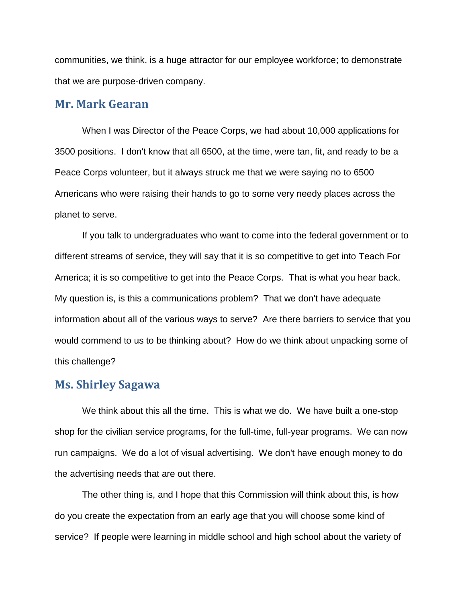communities, we think, is a huge attractor for our employee workforce; to demonstrate that we are purpose-driven company.

### **Mr. Mark Gearan**

When I was Director of the Peace Corps, we had about 10,000 applications for 3500 positions. I don't know that all 6500, at the time, were tan, fit, and ready to be a Peace Corps volunteer, but it always struck me that we were saying no to 6500 Americans who were raising their hands to go to some very needy places across the planet to serve.

If you talk to undergraduates who want to come into the federal government or to different streams of service, they will say that it is so competitive to get into Teach For America; it is so competitive to get into the Peace Corps. That is what you hear back. My question is, is this a communications problem? That we don't have adequate information about all of the various ways to serve? Are there barriers to service that you would commend to us to be thinking about? How do we think about unpacking some of this challenge?

#### **Ms. Shirley Sagawa**

We think about this all the time. This is what we do. We have built a one-stop shop for the civilian service programs, for the full-time, full-year programs. We can now run campaigns. We do a lot of visual advertising. We don't have enough money to do the advertising needs that are out there.

The other thing is, and I hope that this Commission will think about this, is how do you create the expectation from an early age that you will choose some kind of service? If people were learning in middle school and high school about the variety of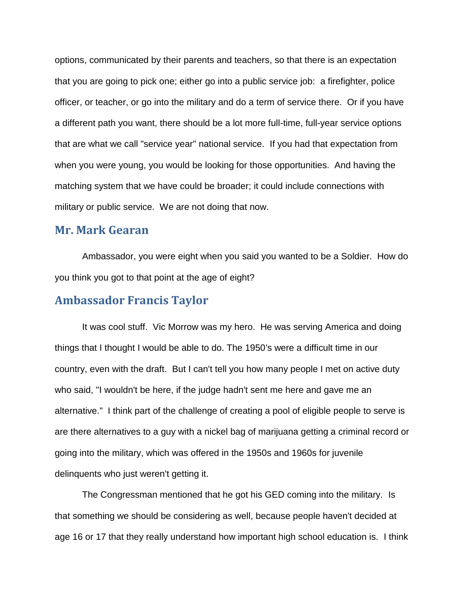options, communicated by their parents and teachers, so that there is an expectation that you are going to pick one; either go into a public service job: a firefighter, police officer, or teacher, or go into the military and do a term of service there. Or if you have a different path you want, there should be a lot more full-time, full-year service options that are what we call "service year" national service. If you had that expectation from when you were young, you would be looking for those opportunities. And having the matching system that we have could be broader; it could include connections with military or public service. We are not doing that now.

# **Mr. Mark Gearan**

Ambassador, you were eight when you said you wanted to be a Soldier. How do you think you got to that point at the age of eight?

# **Ambassador Francis Taylor**

It was cool stuff. Vic Morrow was my hero. He was serving America and doing things that I thought I would be able to do. The 1950's were a difficult time in our country, even with the draft. But I can't tell you how many people I met on active duty who said, "I wouldn't be here, if the judge hadn't sent me here and gave me an alternative." I think part of the challenge of creating a pool of eligible people to serve is are there alternatives to a guy with a nickel bag of marijuana getting a criminal record or going into the military, which was offered in the 1950s and 1960s for juvenile delinquents who just weren't getting it.

The Congressman mentioned that he got his GED coming into the military. Is that something we should be considering as well, because people haven't decided at age 16 or 17 that they really understand how important high school education is. I think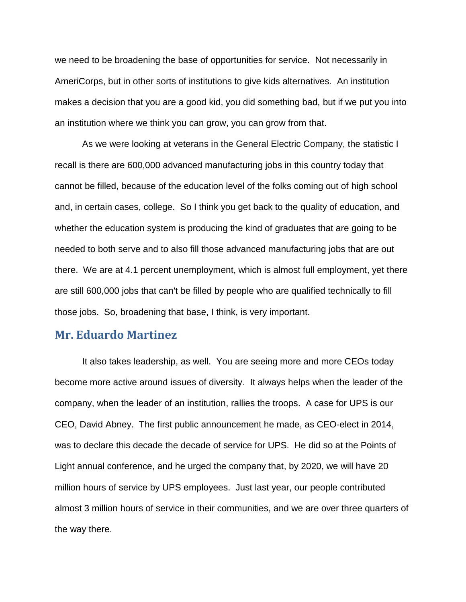we need to be broadening the base of opportunities for service. Not necessarily in AmeriCorps, but in other sorts of institutions to give kids alternatives. An institution makes a decision that you are a good kid, you did something bad, but if we put you into an institution where we think you can grow, you can grow from that.

As we were looking at veterans in the General Electric Company, the statistic I recall is there are 600,000 advanced manufacturing jobs in this country today that cannot be filled, because of the education level of the folks coming out of high school and, in certain cases, college. So I think you get back to the quality of education, and whether the education system is producing the kind of graduates that are going to be needed to both serve and to also fill those advanced manufacturing jobs that are out there. We are at 4.1 percent unemployment, which is almost full employment, yet there are still 600,000 jobs that can't be filled by people who are qualified technically to fill those jobs. So, broadening that base, I think, is very important.

#### **Mr. Eduardo Martinez**

It also takes leadership, as well. You are seeing more and more CEOs today become more active around issues of diversity. It always helps when the leader of the company, when the leader of an institution, rallies the troops. A case for UPS is our CEO, David Abney. The first public announcement he made, as CEO-elect in 2014, was to declare this decade the decade of service for UPS. He did so at the Points of Light annual conference, and he urged the company that, by 2020, we will have 20 million hours of service by UPS employees. Just last year, our people contributed almost 3 million hours of service in their communities, and we are over three quarters of the way there.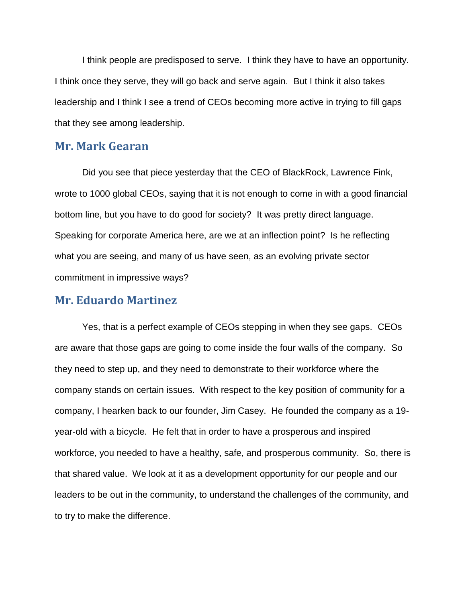I think people are predisposed to serve. I think they have to have an opportunity. I think once they serve, they will go back and serve again. But I think it also takes leadership and I think I see a trend of CEOs becoming more active in trying to fill gaps that they see among leadership.

#### **Mr. Mark Gearan**

Did you see that piece yesterday that the CEO of BlackRock, Lawrence Fink, wrote to 1000 global CEOs, saying that it is not enough to come in with a good financial bottom line, but you have to do good for society? It was pretty direct language. Speaking for corporate America here, are we at an inflection point? Is he reflecting what you are seeing, and many of us have seen, as an evolving private sector commitment in impressive ways?

#### **Mr. Eduardo Martinez**

Yes, that is a perfect example of CEOs stepping in when they see gaps. CEOs are aware that those gaps are going to come inside the four walls of the company. So they need to step up, and they need to demonstrate to their workforce where the company stands on certain issues. With respect to the key position of community for a company, I hearken back to our founder, Jim Casey. He founded the company as a 19 year-old with a bicycle. He felt that in order to have a prosperous and inspired workforce, you needed to have a healthy, safe, and prosperous community. So, there is that shared value. We look at it as a development opportunity for our people and our leaders to be out in the community, to understand the challenges of the community, and to try to make the difference.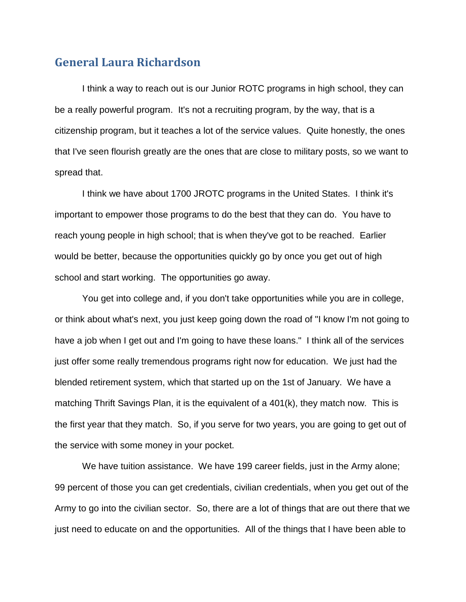# **General Laura Richardson**

I think a way to reach out is our Junior ROTC programs in high school, they can be a really powerful program. It's not a recruiting program, by the way, that is a citizenship program, but it teaches a lot of the service values. Quite honestly, the ones that I've seen flourish greatly are the ones that are close to military posts, so we want to spread that.

I think we have about 1700 JROTC programs in the United States. I think it's important to empower those programs to do the best that they can do. You have to reach young people in high school; that is when they've got to be reached. Earlier would be better, because the opportunities quickly go by once you get out of high school and start working. The opportunities go away.

You get into college and, if you don't take opportunities while you are in college, or think about what's next, you just keep going down the road of "I know I'm not going to have a job when I get out and I'm going to have these loans." I think all of the services just offer some really tremendous programs right now for education. We just had the blended retirement system, which that started up on the 1st of January. We have a matching Thrift Savings Plan, it is the equivalent of a 401(k), they match now. This is the first year that they match. So, if you serve for two years, you are going to get out of the service with some money in your pocket.

We have tuition assistance. We have 199 career fields, just in the Army alone; 99 percent of those you can get credentials, civilian credentials, when you get out of the Army to go into the civilian sector. So, there are a lot of things that are out there that we just need to educate on and the opportunities. All of the things that I have been able to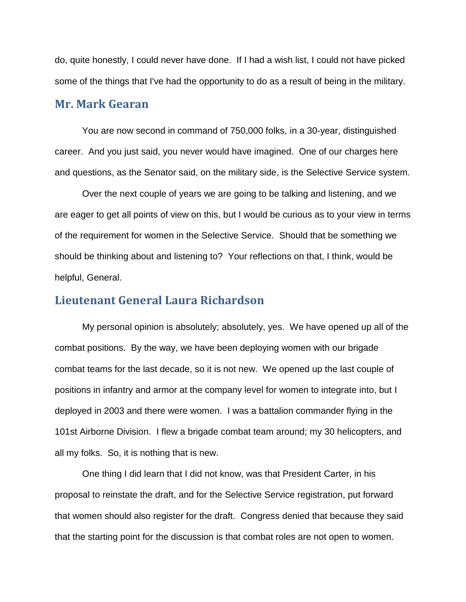do, quite honestly, I could never have done. If I had a wish list, I could not have picked some of the things that I've had the opportunity to do as a result of being in the military.

#### **Mr. Mark Gearan**

You are now second in command of 750,000 folks, in a 30-year, distinguished career. And you just said, you never would have imagined. One of our charges here and questions, as the Senator said, on the military side, is the Selective Service system.

Over the next couple of years we are going to be talking and listening, and we are eager to get all points of view on this, but I would be curious as to your view in terms of the requirement for women in the Selective Service. Should that be something we should be thinking about and listening to? Your reflections on that, I think, would be helpful, General.

## **Lieutenant General Laura Richardson**

My personal opinion is absolutely; absolutely, yes. We have opened up all of the combat positions. By the way, we have been deploying women with our brigade combat teams for the last decade, so it is not new. We opened up the last couple of positions in infantry and armor at the company level for women to integrate into, but I deployed in 2003 and there were women. I was a battalion commander flying in the 101st Airborne Division. I flew a brigade combat team around; my 30 helicopters, and all my folks. So, it is nothing that is new.

One thing I did learn that I did not know, was that President Carter, in his proposal to reinstate the draft, and for the Selective Service registration, put forward that women should also register for the draft. Congress denied that because they said that the starting point for the discussion is that combat roles are not open to women.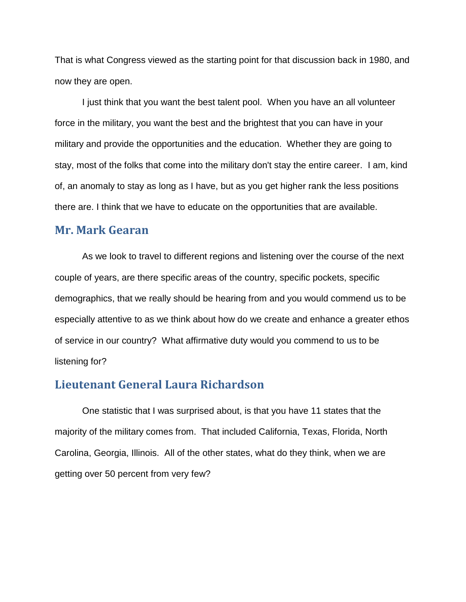That is what Congress viewed as the starting point for that discussion back in 1980, and now they are open.

I just think that you want the best talent pool. When you have an all volunteer force in the military, you want the best and the brightest that you can have in your military and provide the opportunities and the education. Whether they are going to stay, most of the folks that come into the military don't stay the entire career. I am, kind of, an anomaly to stay as long as I have, but as you get higher rank the less positions there are. I think that we have to educate on the opportunities that are available.

### **Mr. Mark Gearan**

As we look to travel to different regions and listening over the course of the next couple of years, are there specific areas of the country, specific pockets, specific demographics, that we really should be hearing from and you would commend us to be especially attentive to as we think about how do we create and enhance a greater ethos of service in our country? What affirmative duty would you commend to us to be listening for?

## **Lieutenant General Laura Richardson**

One statistic that I was surprised about, is that you have 11 states that the majority of the military comes from. That included California, Texas, Florida, North Carolina, Georgia, Illinois. All of the other states, what do they think, when we are getting over 50 percent from very few?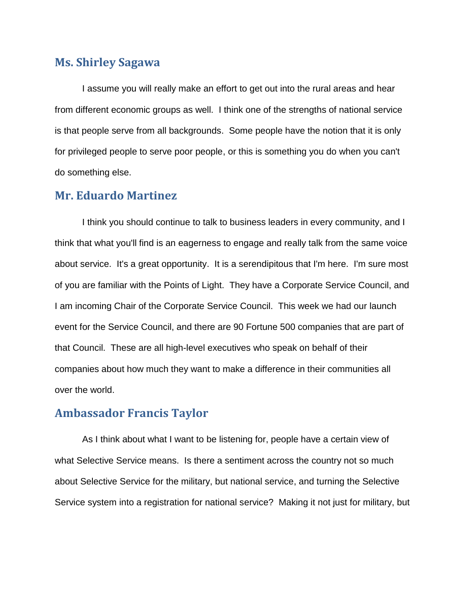# **Ms. Shirley Sagawa**

I assume you will really make an effort to get out into the rural areas and hear from different economic groups as well. I think one of the strengths of national service is that people serve from all backgrounds. Some people have the notion that it is only for privileged people to serve poor people, or this is something you do when you can't do something else.

# **Mr. Eduardo Martinez**

I think you should continue to talk to business leaders in every community, and I think that what you'll find is an eagerness to engage and really talk from the same voice about service. It's a great opportunity. It is a serendipitous that I'm here. I'm sure most of you are familiar with the Points of Light. They have a Corporate Service Council, and I am incoming Chair of the Corporate Service Council. This week we had our launch event for the Service Council, and there are 90 Fortune 500 companies that are part of that Council. These are all high-level executives who speak on behalf of their companies about how much they want to make a difference in their communities all over the world.

# **Ambassador Francis Taylor**

As I think about what I want to be listening for, people have a certain view of what Selective Service means. Is there a sentiment across the country not so much about Selective Service for the military, but national service, and turning the Selective Service system into a registration for national service? Making it not just for military, but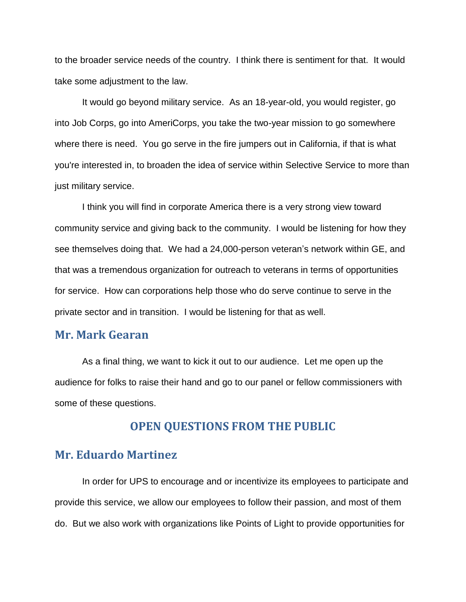to the broader service needs of the country. I think there is sentiment for that. It would take some adjustment to the law.

It would go beyond military service. As an 18-year-old, you would register, go into Job Corps, go into AmeriCorps, you take the two-year mission to go somewhere where there is need. You go serve in the fire jumpers out in California, if that is what you're interested in, to broaden the idea of service within Selective Service to more than just military service.

I think you will find in corporate America there is a very strong view toward community service and giving back to the community. I would be listening for how they see themselves doing that. We had a 24,000-person veteran's network within GE, and that was a tremendous organization for outreach to veterans in terms of opportunities for service. How can corporations help those who do serve continue to serve in the private sector and in transition. I would be listening for that as well.

## **Mr. Mark Gearan**

As a final thing, we want to kick it out to our audience. Let me open up the audience for folks to raise their hand and go to our panel or fellow commissioners with some of these questions.

# **OPEN QUESTIONS FROM THE PUBLIC**

## **Mr. Eduardo Martinez**

In order for UPS to encourage and or incentivize its employees to participate and provide this service, we allow our employees to follow their passion, and most of them do. But we also work with organizations like Points of Light to provide opportunities for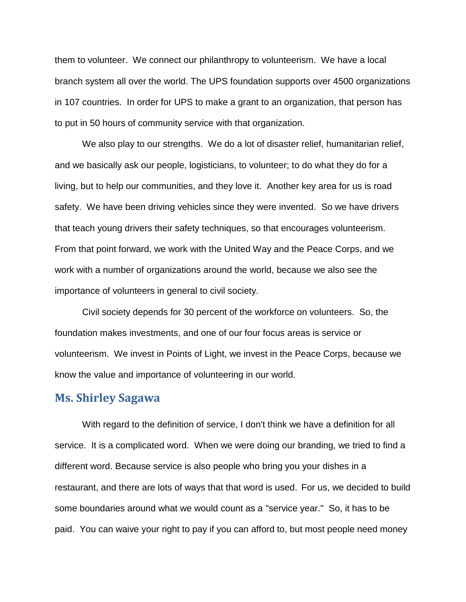them to volunteer. We connect our philanthropy to volunteerism. We have a local branch system all over the world. The UPS foundation supports over 4500 organizations in 107 countries. In order for UPS to make a grant to an organization, that person has to put in 50 hours of community service with that organization.

We also play to our strengths. We do a lot of disaster relief, humanitarian relief, and we basically ask our people, logisticians, to volunteer; to do what they do for a living, but to help our communities, and they love it. Another key area for us is road safety. We have been driving vehicles since they were invented. So we have drivers that teach young drivers their safety techniques, so that encourages volunteerism. From that point forward, we work with the United Way and the Peace Corps, and we work with a number of organizations around the world, because we also see the importance of volunteers in general to civil society.

Civil society depends for 30 percent of the workforce on volunteers. So, the foundation makes investments, and one of our four focus areas is service or volunteerism. We invest in Points of Light, we invest in the Peace Corps, because we know the value and importance of volunteering in our world.

### **Ms. Shirley Sagawa**

With regard to the definition of service, I don't think we have a definition for all service. It is a complicated word. When we were doing our branding, we tried to find a different word. Because service is also people who bring you your dishes in a restaurant, and there are lots of ways that that word is used. For us, we decided to build some boundaries around what we would count as a "service year." So, it has to be paid. You can waive your right to pay if you can afford to, but most people need money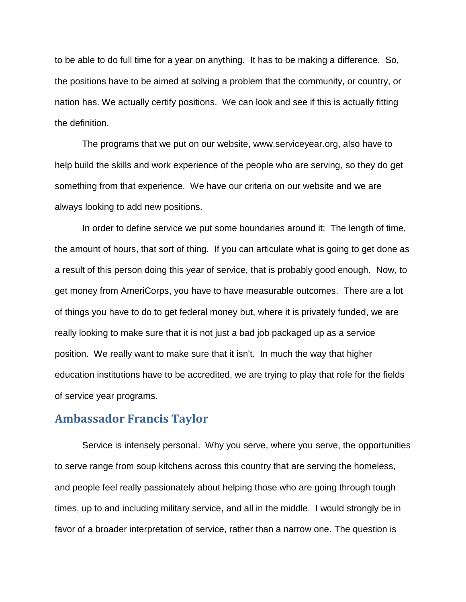to be able to do full time for a year on anything. It has to be making a difference. So, the positions have to be aimed at solving a problem that the community, or country, or nation has. We actually certify positions. We can look and see if this is actually fitting the definition.

The programs that we put on our website, www.serviceyear.org, also have to help build the skills and work experience of the people who are serving, so they do get something from that experience. We have our criteria on our website and we are always looking to add new positions.

In order to define service we put some boundaries around it: The length of time, the amount of hours, that sort of thing. If you can articulate what is going to get done as a result of this person doing this year of service, that is probably good enough. Now, to get money from AmeriCorps, you have to have measurable outcomes. There are a lot of things you have to do to get federal money but, where it is privately funded, we are really looking to make sure that it is not just a bad job packaged up as a service position. We really want to make sure that it isn't. In much the way that higher education institutions have to be accredited, we are trying to play that role for the fields of service year programs.

## **Ambassador Francis Taylor**

Service is intensely personal. Why you serve, where you serve, the opportunities to serve range from soup kitchens across this country that are serving the homeless, and people feel really passionately about helping those who are going through tough times, up to and including military service, and all in the middle. I would strongly be in favor of a broader interpretation of service, rather than a narrow one. The question is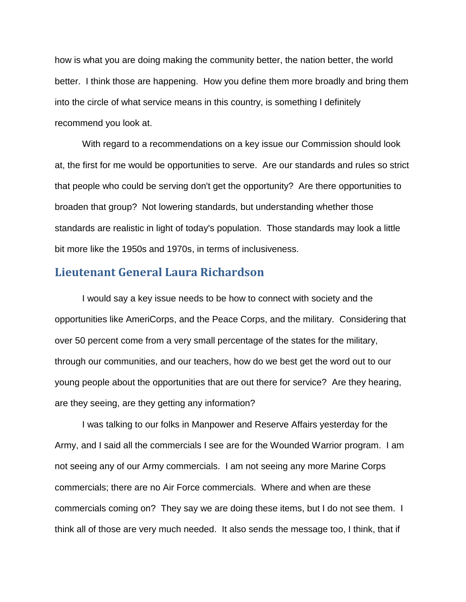how is what you are doing making the community better, the nation better, the world better. I think those are happening. How you define them more broadly and bring them into the circle of what service means in this country, is something I definitely recommend you look at.

With regard to a recommendations on a key issue our Commission should look at, the first for me would be opportunities to serve. Are our standards and rules so strict that people who could be serving don't get the opportunity? Are there opportunities to broaden that group? Not lowering standards, but understanding whether those standards are realistic in light of today's population. Those standards may look a little bit more like the 1950s and 1970s, in terms of inclusiveness.

## **Lieutenant General Laura Richardson**

I would say a key issue needs to be how to connect with society and the opportunities like AmeriCorps, and the Peace Corps, and the military. Considering that over 50 percent come from a very small percentage of the states for the military, through our communities, and our teachers, how do we best get the word out to our young people about the opportunities that are out there for service? Are they hearing, are they seeing, are they getting any information?

I was talking to our folks in Manpower and Reserve Affairs yesterday for the Army, and I said all the commercials I see are for the Wounded Warrior program. I am not seeing any of our Army commercials. I am not seeing any more Marine Corps commercials; there are no Air Force commercials. Where and when are these commercials coming on? They say we are doing these items, but I do not see them. I think all of those are very much needed. It also sends the message too, I think, that if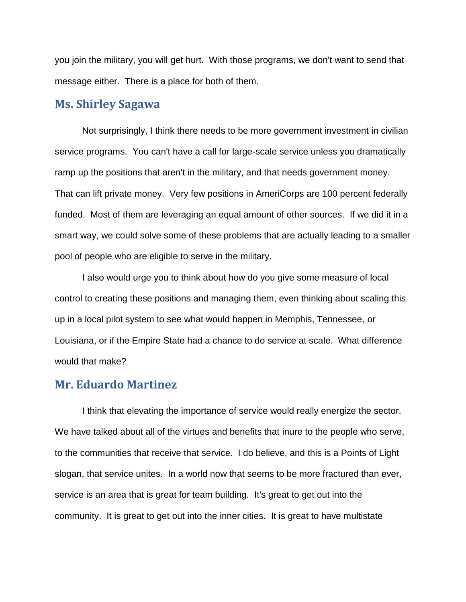you join the military, you will get hurt. With those programs, we don't want to send that message either. There is a place for both of them.

# **Ms. Shirley Sagawa**

Not surprisingly, I think there needs to be more government investment in civilian service programs. You can't have a call for large-scale service unless you dramatically ramp up the positions that aren't in the military, and that needs government money. That can lift private money. Very few positions in AmeriCorps are 100 percent federally funded. Most of them are leveraging an equal amount of other sources. If we did it in a smart way, we could solve some of these problems that are actually leading to a smaller pool of people who are eligible to serve in the military.

I also would urge you to think about how do you give some measure of local control to creating these positions and managing them, even thinking about scaling this up in a local pilot system to see what would happen in Memphis, Tennessee, or Louisiana, or if the Empire State had a chance to do service at scale. What difference would that make?

#### **Mr. Eduardo Martinez**

I think that elevating the importance of service would really energize the sector. We have talked about all of the virtues and benefits that inure to the people who serve, to the communities that receive that service. I do believe, and this is a Points of Light slogan, that service unites. In a world now that seems to be more fractured than ever, service is an area that is great for team building. It's great to get out into the community. It is great to get out into the inner cities. It is great to have multistate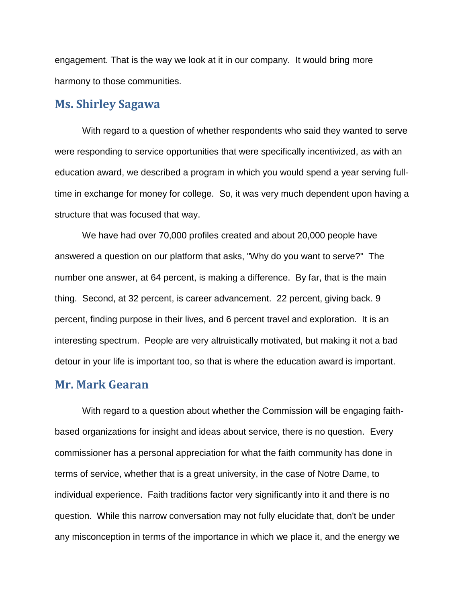engagement. That is the way we look at it in our company. It would bring more harmony to those communities.

# **Ms. Shirley Sagawa**

With regard to a question of whether respondents who said they wanted to serve were responding to service opportunities that were specifically incentivized, as with an education award, we described a program in which you would spend a year serving fulltime in exchange for money for college. So, it was very much dependent upon having a structure that was focused that way.

We have had over 70,000 profiles created and about 20,000 people have answered a question on our platform that asks, "Why do you want to serve?" The number one answer, at 64 percent, is making a difference. By far, that is the main thing. Second, at 32 percent, is career advancement. 22 percent, giving back. 9 percent, finding purpose in their lives, and 6 percent travel and exploration. It is an interesting spectrum. People are very altruistically motivated, but making it not a bad detour in your life is important too, so that is where the education award is important.

#### **Mr. Mark Gearan**

With regard to a question about whether the Commission will be engaging faithbased organizations for insight and ideas about service, there is no question. Every commissioner has a personal appreciation for what the faith community has done in terms of service, whether that is a great university, in the case of Notre Dame, to individual experience. Faith traditions factor very significantly into it and there is no question. While this narrow conversation may not fully elucidate that, don't be under any misconception in terms of the importance in which we place it, and the energy we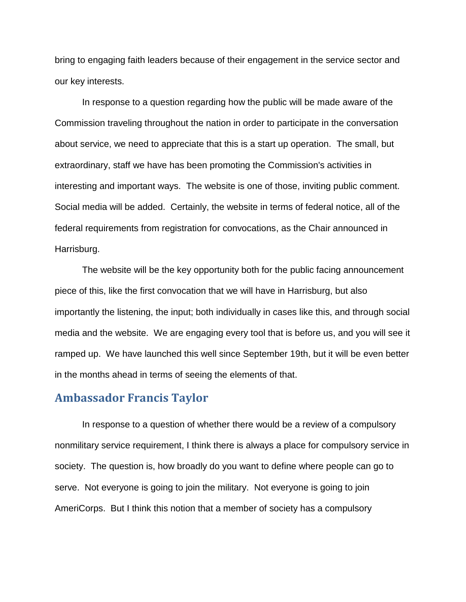bring to engaging faith leaders because of their engagement in the service sector and our key interests.

In response to a question regarding how the public will be made aware of the Commission traveling throughout the nation in order to participate in the conversation about service, we need to appreciate that this is a start up operation. The small, but extraordinary, staff we have has been promoting the Commission's activities in interesting and important ways. The website is one of those, inviting public comment. Social media will be added. Certainly, the website in terms of federal notice, all of the federal requirements from registration for convocations, as the Chair announced in Harrisburg.

The website will be the key opportunity both for the public facing announcement piece of this, like the first convocation that we will have in Harrisburg, but also importantly the listening, the input; both individually in cases like this, and through social media and the website. We are engaging every tool that is before us, and you will see it ramped up. We have launched this well since September 19th, but it will be even better in the months ahead in terms of seeing the elements of that.

# **Ambassador Francis Taylor**

In response to a question of whether there would be a review of a compulsory nonmilitary service requirement, I think there is always a place for compulsory service in society. The question is, how broadly do you want to define where people can go to serve. Not everyone is going to join the military. Not everyone is going to join AmeriCorps. But I think this notion that a member of society has a compulsory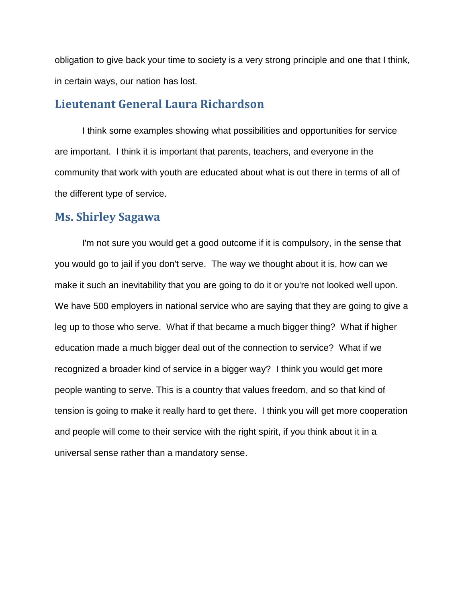obligation to give back your time to society is a very strong principle and one that I think, in certain ways, our nation has lost.

# **Lieutenant General Laura Richardson**

I think some examples showing what possibilities and opportunities for service are important. I think it is important that parents, teachers, and everyone in the community that work with youth are educated about what is out there in terms of all of the different type of service.

# **Ms. Shirley Sagawa**

I'm not sure you would get a good outcome if it is compulsory, in the sense that you would go to jail if you don't serve. The way we thought about it is, how can we make it such an inevitability that you are going to do it or you're not looked well upon. We have 500 employers in national service who are saying that they are going to give a leg up to those who serve. What if that became a much bigger thing? What if higher education made a much bigger deal out of the connection to service? What if we recognized a broader kind of service in a bigger way? I think you would get more people wanting to serve. This is a country that values freedom, and so that kind of tension is going to make it really hard to get there. I think you will get more cooperation and people will come to their service with the right spirit, if you think about it in a universal sense rather than a mandatory sense.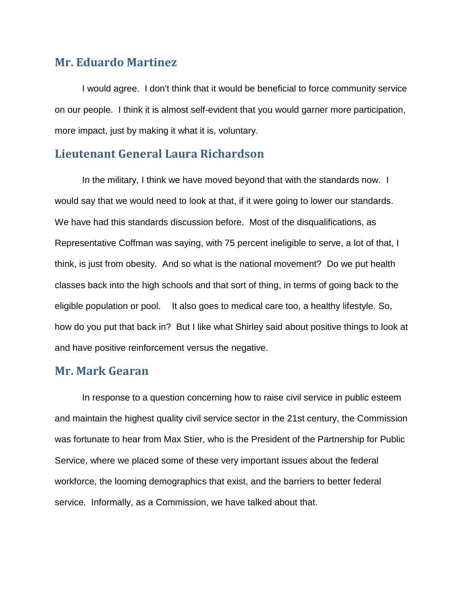# **Mr. Eduardo Martinez**

I would agree. I don't think that it would be beneficial to force community service on our people. I think it is almost self-evident that you would garner more participation, more impact, just by making it what it is, voluntary.

# **Lieutenant General Laura Richardson**

In the military, I think we have moved beyond that with the standards now. I would say that we would need to look at that, if it were going to lower our standards. We have had this standards discussion before. Most of the disqualifications, as Representative Coffman was saying, with 75 percent ineligible to serve, a lot of that, I think, is just from obesity. And so what is the national movement? Do we put health classes back into the high schools and that sort of thing, in terms of going back to the eligible population or pool. It also goes to medical care too, a healthy lifestyle. So, how do you put that back in? But I like what Shirley said about positive things to look at and have positive reinforcement versus the negative.

# **Mr. Mark Gearan**

In response to a question concerning how to raise civil service in public esteem and maintain the highest quality civil service sector in the 21st century, the Commission was fortunate to hear from Max Stier, who is the President of the Partnership for Public Service, where we placed some of these very important issues about the federal workforce, the looming demographics that exist, and the barriers to better federal service. Informally, as a Commission, we have talked about that.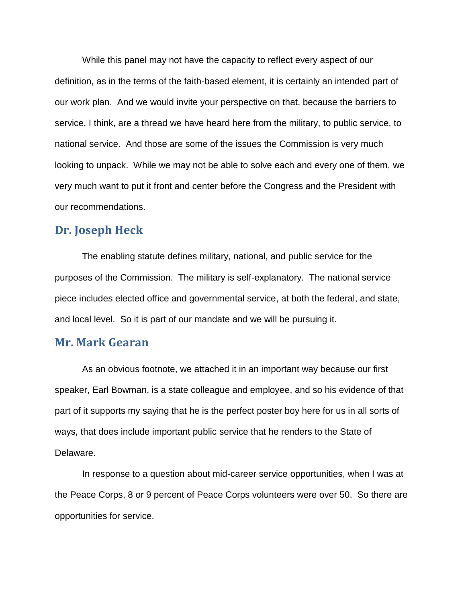While this panel may not have the capacity to reflect every aspect of our definition, as in the terms of the faith-based element, it is certainly an intended part of our work plan. And we would invite your perspective on that, because the barriers to service, I think, are a thread we have heard here from the military, to public service, to national service. And those are some of the issues the Commission is very much looking to unpack. While we may not be able to solve each and every one of them, we very much want to put it front and center before the Congress and the President with our recommendations.

# **Dr. Joseph Heck**

The enabling statute defines military, national, and public service for the purposes of the Commission. The military is self-explanatory. The national service piece includes elected office and governmental service, at both the federal, and state, and local level. So it is part of our mandate and we will be pursuing it.

### **Mr. Mark Gearan**

As an obvious footnote, we attached it in an important way because our first speaker, Earl Bowman, is a state colleague and employee, and so his evidence of that part of it supports my saying that he is the perfect poster boy here for us in all sorts of ways, that does include important public service that he renders to the State of Delaware.

In response to a question about mid-career service opportunities, when I was at the Peace Corps, 8 or 9 percent of Peace Corps volunteers were over 50. So there are opportunities for service.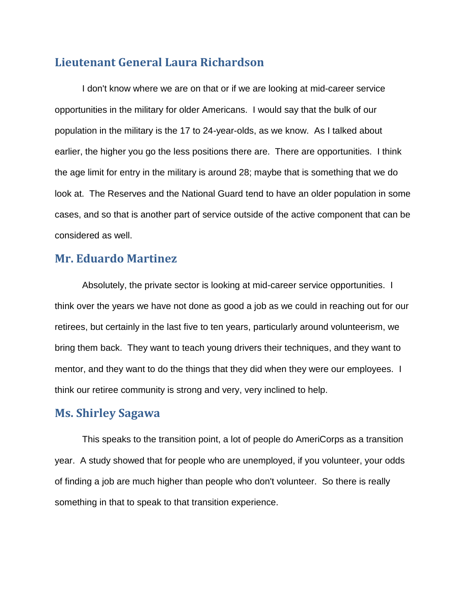# **Lieutenant General Laura Richardson**

I don't know where we are on that or if we are looking at mid-career service opportunities in the military for older Americans. I would say that the bulk of our population in the military is the 17 to 24-year-olds, as we know. As I talked about earlier, the higher you go the less positions there are. There are opportunities. I think the age limit for entry in the military is around 28; maybe that is something that we do look at. The Reserves and the National Guard tend to have an older population in some cases, and so that is another part of service outside of the active component that can be considered as well.

# **Mr. Eduardo Martinez**

Absolutely, the private sector is looking at mid-career service opportunities. I think over the years we have not done as good a job as we could in reaching out for our retirees, but certainly in the last five to ten years, particularly around volunteerism, we bring them back. They want to teach young drivers their techniques, and they want to mentor, and they want to do the things that they did when they were our employees. I think our retiree community is strong and very, very inclined to help.

## **Ms. Shirley Sagawa**

This speaks to the transition point, a lot of people do AmeriCorps as a transition year. A study showed that for people who are unemployed, if you volunteer, your odds of finding a job are much higher than people who don't volunteer. So there is really something in that to speak to that transition experience.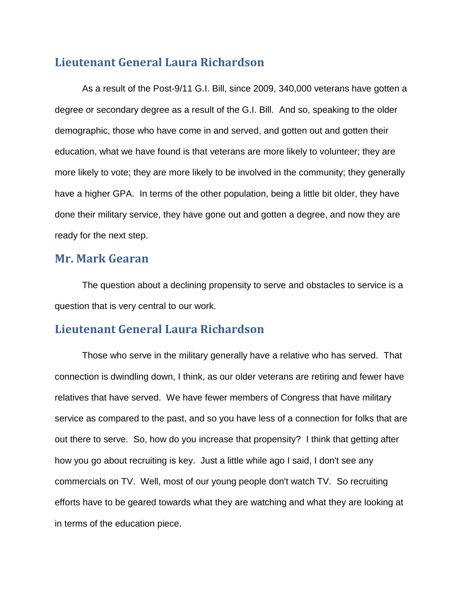# **Lieutenant General Laura Richardson**

As a result of the Post-9/11 G.I. Bill, since 2009, 340,000 veterans have gotten a degree or secondary degree as a result of the G.I. Bill. And so, speaking to the older demographic, those who have come in and served, and gotten out and gotten their education, what we have found is that veterans are more likely to volunteer; they are more likely to vote; they are more likely to be involved in the community; they generally have a higher GPA. In terms of the other population, being a little bit older, they have done their military service, they have gone out and gotten a degree, and now they are ready for the next step.

# **Mr. Mark Gearan**

The question about a declining propensity to serve and obstacles to service is a question that is very central to our work.

# **Lieutenant General Laura Richardson**

Those who serve in the military generally have a relative who has served. That connection is dwindling down, I think, as our older veterans are retiring and fewer have relatives that have served. We have fewer members of Congress that have military service as compared to the past, and so you have less of a connection for folks that are out there to serve. So, how do you increase that propensity? I think that getting after how you go about recruiting is key. Just a little while ago I said, I don't see any commercials on TV. Well, most of our young people don't watch TV. So recruiting efforts have to be geared towards what they are watching and what they are looking at in terms of the education piece.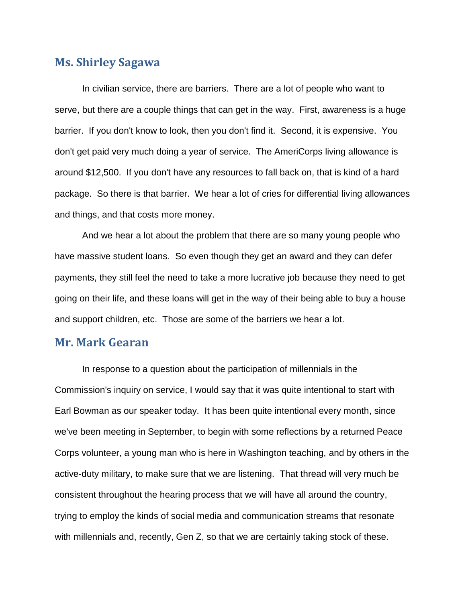# **Ms. Shirley Sagawa**

In civilian service, there are barriers. There are a lot of people who want to serve, but there are a couple things that can get in the way. First, awareness is a huge barrier. If you don't know to look, then you don't find it. Second, it is expensive. You don't get paid very much doing a year of service. The AmeriCorps living allowance is around \$12,500. If you don't have any resources to fall back on, that is kind of a hard package. So there is that barrier. We hear a lot of cries for differential living allowances and things, and that costs more money.

And we hear a lot about the problem that there are so many young people who have massive student loans. So even though they get an award and they can defer payments, they still feel the need to take a more lucrative job because they need to get going on their life, and these loans will get in the way of their being able to buy a house and support children, etc. Those are some of the barriers we hear a lot.

# **Mr. Mark Gearan**

In response to a question about the participation of millennials in the Commission's inquiry on service, I would say that it was quite intentional to start with Earl Bowman as our speaker today. It has been quite intentional every month, since we've been meeting in September, to begin with some reflections by a returned Peace Corps volunteer, a young man who is here in Washington teaching, and by others in the active-duty military, to make sure that we are listening. That thread will very much be consistent throughout the hearing process that we will have all around the country, trying to employ the kinds of social media and communication streams that resonate with millennials and, recently, Gen Z, so that we are certainly taking stock of these.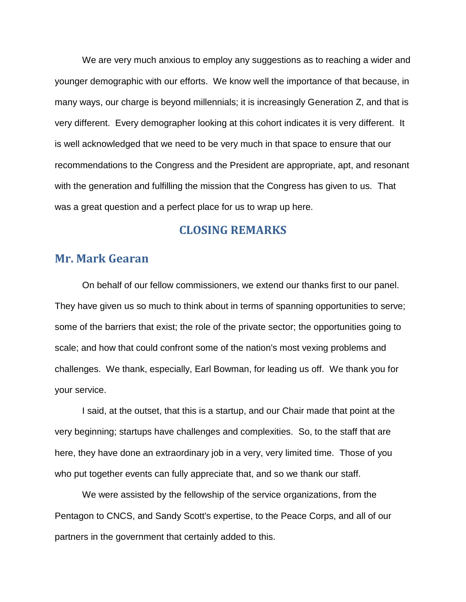We are very much anxious to employ any suggestions as to reaching a wider and younger demographic with our efforts. We know well the importance of that because, in many ways, our charge is beyond millennials; it is increasingly Generation Z, and that is very different. Every demographer looking at this cohort indicates it is very different. It is well acknowledged that we need to be very much in that space to ensure that our recommendations to the Congress and the President are appropriate, apt, and resonant with the generation and fulfilling the mission that the Congress has given to us. That was a great question and a perfect place for us to wrap up here.

## **CLOSING REMARKS**

### **Mr. Mark Gearan**

On behalf of our fellow commissioners, we extend our thanks first to our panel. They have given us so much to think about in terms of spanning opportunities to serve; some of the barriers that exist; the role of the private sector; the opportunities going to scale; and how that could confront some of the nation's most vexing problems and challenges. We thank, especially, Earl Bowman, for leading us off. We thank you for your service.

I said, at the outset, that this is a startup, and our Chair made that point at the very beginning; startups have challenges and complexities. So, to the staff that are here, they have done an extraordinary job in a very, very limited time. Those of you who put together events can fully appreciate that, and so we thank our staff.

We were assisted by the fellowship of the service organizations, from the Pentagon to CNCS, and Sandy Scott's expertise, to the Peace Corps, and all of our partners in the government that certainly added to this.